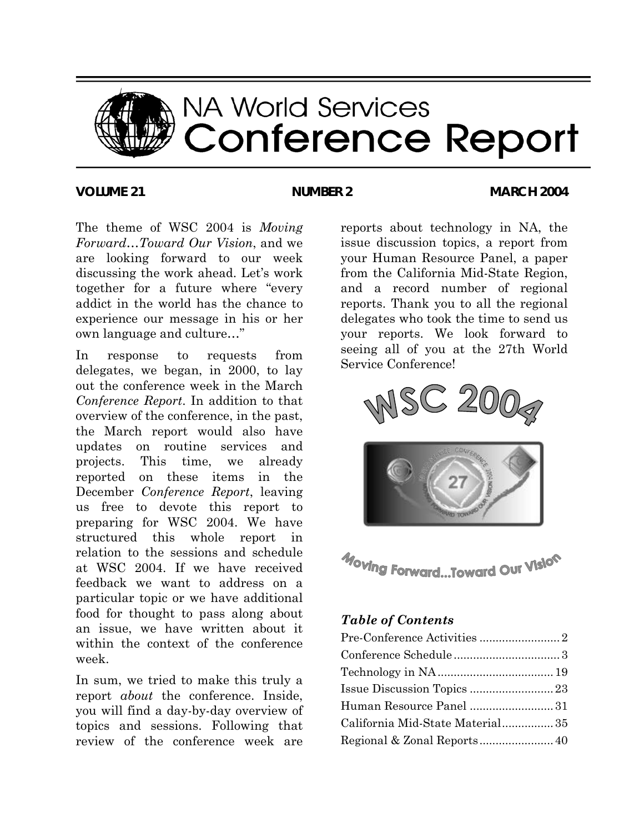

### **NA World Services Conference Report**

#### **VOLUME 21 NUMBER 2 MARCH 2004**

The theme of WSC 2004 is *Moving Forward…Toward Our Vision*, and we are looking forward to our week discussing the work ahead. Let's work together for a future where "every addict in the world has the chance to experience our message in his or her own language and culture…"

In response to requests from delegates, we began, in 2000, to lay out the conference week in the March *Conference Report*. In addition to that overview of the conference, in the past, the March report would also have updates on routine services and projects. This time, we already reported on these items in the December *Conference Report*, leaving us free to devote this report to preparing for WSC 2004. We have structured this whole report in relation to the sessions and schedule at WSC 2004. If we have received feedback we want to address on a particular topic or we have additional food for thought to pass along about an issue, we have written about it within the context of the conference week.

In sum, we tried to make this truly a report *about* the conference. Inside, you will find a day-by-day overview of topics and sessions. Following that review of the conference week are reports about technology in NA, the issue discussion topics, a report from your Human Resource Panel, a paper from the California Mid-State Region, and a record number of regional reports. Thank you to all the regional delegates who took the time to send us your reports. We look forward to seeing all of you at the 27th World Service Conference!



Moving Forward...Toward Our Vislon

#### *Table of Contents*

| California Mid-State Material 35 |  |
|----------------------------------|--|
|                                  |  |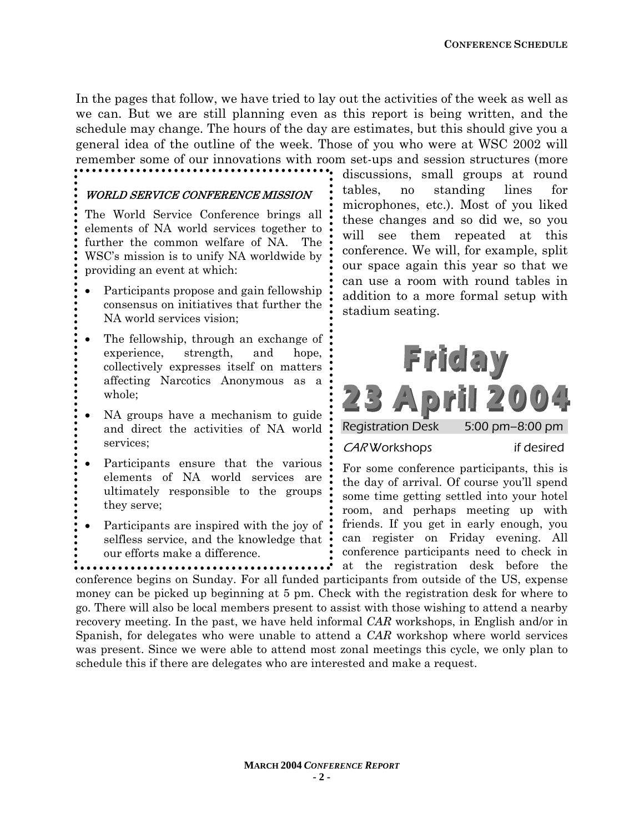In the pages that follow, we have tried to lay out the activities of the week as well as we can. But we are still planning even as this report is being written, and the schedule may change. The hours of the day are estimates, but this should give you a general idea of the outline of the week. Those of you who were at WSC 2002 will remember some of our innovations with room set-ups and session structures (more

#### WORLD SERVICE CONFERENCE MISSION

The World Service Conference brings all elements of NA world services together to further the common welfare of NA. The WSC's mission is to unify NA worldwide by providing an event at which:

- Participants propose and gain fellowship consensus on initiatives that further the NA world services vision;
- The fellowship, through an exchange of experience, strength, and hope, collectively expresses itself on matters affecting Narcotics Anonymous as a whole;
- NA groups have a mechanism to guide and direct the activities of NA world services;
- Participants ensure that the various elements of NA world services are ultimately responsible to the groups they serve;
- Participants are inspired with the joy of selfless service, and the knowledge that our efforts make a difference.

discussions, small groups at round tables, no standing lines for microphones, etc.). Most of you liked these changes and so did we, so you will see them repeated at this conference. We will, for example, split our space again this year so that we can use a room with round tables in addition to a more formal setup with stadium seating.



For some conference participants, this is the day of arrival. Of course you'll spend some time getting settled into your hotel room, and perhaps meeting up with friends. If you get in early enough, you can register on Friday evening. All conference participants need to check in at the registration desk before the

conference begins on Sunday. For all funded participants from outside of the US, expense money can be picked up beginning at 5 pm. Check with the registration desk for where to go. There will also be local members present to assist with those wishing to attend a nearby recovery meeting. In the past, we have held informal *CAR* workshops, in English and/or in Spanish, for delegates who were unable to attend a *CAR* workshop where world services was present. Since we were able to attend most zonal meetings this cycle, we only plan to schedule this if there are delegates who are interested and make a request.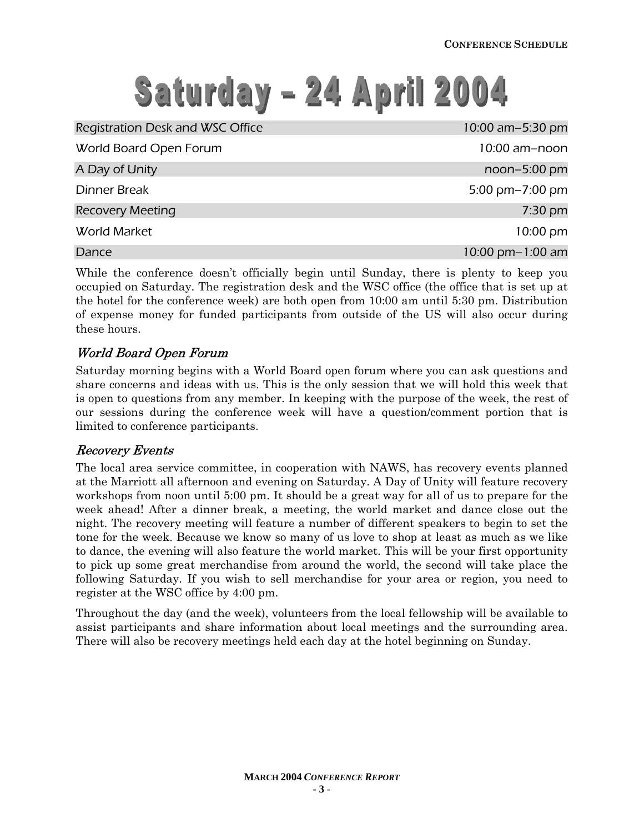# Saturday - 24 April 2004

| Registration Desk and WSC Office | 10:00 $am-5:30$ pm |
|----------------------------------|--------------------|
| World Board Open Forum           | $10:00$ am-noon    |
| A Day of Unity                   | noon $-5:00$ pm    |
| Dinner Break                     | 5:00 pm $-7:00$ pm |
| <b>Recovery Meeting</b>          | $7:30$ pm          |
| <b>World Market</b>              | $10:00 \text{ pm}$ |
| Dance                            | 10:00 pm-1:00 am   |

While the conference doesn't officially begin until Sunday, there is plenty to keep you occupied on Saturday. The registration desk and the WSC office (the office that is set up at the hotel for the conference week) are both open from 10:00 am until 5:30 pm. Distribution of expense money for funded participants from outside of the US will also occur during these hours.

#### World Board Open Forum

Saturday morning begins with a World Board open forum where you can ask questions and share concerns and ideas with us. This is the only session that we will hold this week that is open to questions from any member. In keeping with the purpose of the week, the rest of our sessions during the conference week will have a question/comment portion that is limited to conference participants.

#### Recovery Events

The local area service committee, in cooperation with NAWS, has recovery events planned at the Marriott all afternoon and evening on Saturday. A Day of Unity will feature recovery workshops from noon until 5:00 pm. It should be a great way for all of us to prepare for the week ahead! After a dinner break, a meeting, the world market and dance close out the night. The recovery meeting will feature a number of different speakers to begin to set the tone for the week. Because we know so many of us love to shop at least as much as we like to dance, the evening will also feature the world market. This will be your first opportunity to pick up some great merchandise from around the world, the second will take place the following Saturday. If you wish to sell merchandise for your area or region, you need to register at the WSC office by 4:00 pm.

Throughout the day (and the week), volunteers from the local fellowship will be available to assist participants and share information about local meetings and the surrounding area. There will also be recovery meetings held each day at the hotel beginning on Sunday.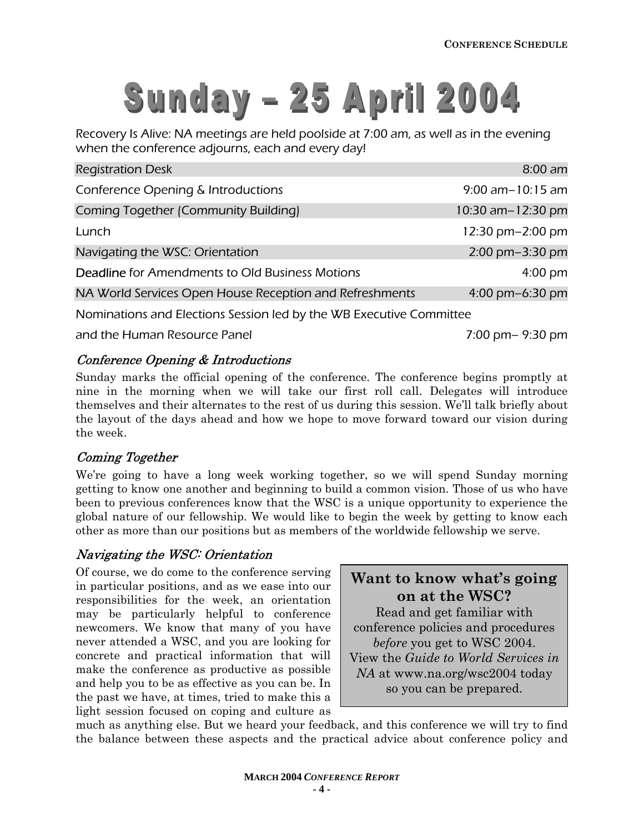# **Sunday - 25 April 2004**

Recovery Is Alive: NA meetings are held poolside at 7:00 am, as well as in the evening when the conference adjourns, each and every day!

| <b>Registration Desk</b>                                | $8:00$ am                           |
|---------------------------------------------------------|-------------------------------------|
| Conference Opening & Introductions                      | $9:00$ am $-10:15$ am               |
| <b>Coming Together (Community Building)</b>             | 10:30 am $-12:30$ pm                |
| Lunch                                                   | 12:30 pm-2:00 pm                    |
| Navigating the WSC: Orientation                         | $2:00 \text{ pm} - 3:30 \text{ pm}$ |
| <b>Deadline</b> for Amendments to Old Business Motions  | $4:00 \text{ pm}$                   |
| NA World Services Open House Reception and Refreshments | 4:00 pm $-6:30$ pm                  |
|                                                         |                                     |

Nominations and Elections Session led by the WB Executive Committee

and the Human Resource Panel **7:00 pm– 9:30 pm** 

#### Conference Opening & Introductions

Sunday marks the official opening of the conference. The conference begins promptly at nine in the morning when we will take our first roll call. Delegates will introduce themselves and their alternates to the rest of us during this session. We'll talk briefly about the layout of the days ahead and how we hope to move forward toward our vision during the week.

#### Coming Together

We're going to have a long week working together, so we will spend Sunday morning getting to know one another and beginning to build a common vision. Those of us who have been to previous conferences know that the WSC is a unique opportunity to experience the global nature of our fellowship. We would like to begin the week by getting to know each other as more than our positions but as members of the worldwide fellowship we serve.

#### Navigating the WSC: Orientation

Of course, we do come to the conference serving in particular positions, and as we ease into our responsibilities for the week, an orientation may be particularly helpful to conference newcomers. We know that many of you have never attended a WSC, and you are looking for concrete and practical information that will make the conference as productive as possible and help you to be as effective as you can be. In the past we have, at times, tried to make this a light session focused on coping and culture as



much as anything else. But we heard your feedback, and this conference we will try to find the balance between these aspects and the practical advice about conference policy and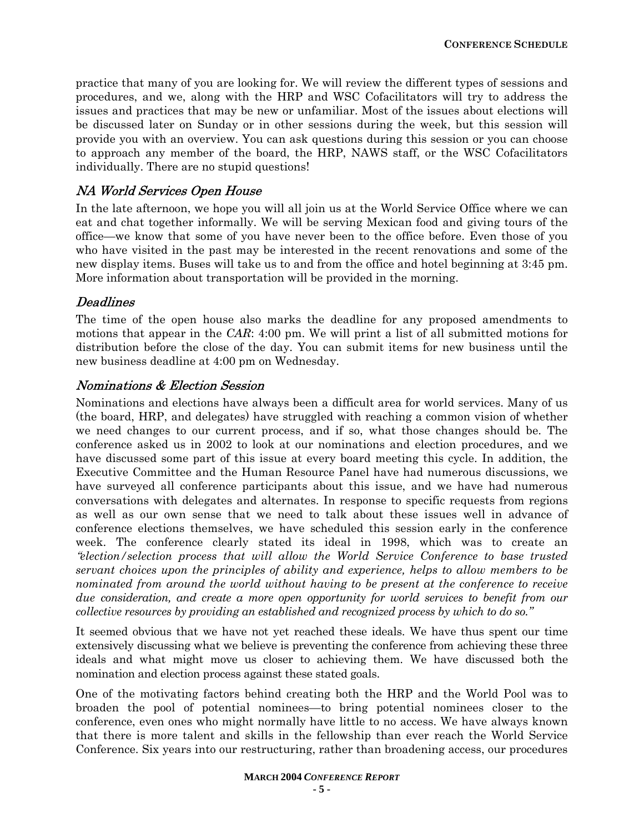practice that many of you are looking for. We will review the different types of sessions and procedures, and we, along with the HRP and WSC Cofacilitators will try to address the issues and practices that may be new or unfamiliar. Most of the issues about elections will be discussed later on Sunday or in other sessions during the week, but this session will provide you with an overview. You can ask questions during this session or you can choose to approach any member of the board, the HRP, NAWS staff, or the WSC Cofacilitators individually. There are no stupid questions!

#### NA World Services Open House

In the late afternoon, we hope you will all join us at the World Service Office where we can eat and chat together informally. We will be serving Mexican food and giving tours of the office—we know that some of you have never been to the office before. Even those of you who have visited in the past may be interested in the recent renovations and some of the new display items. Buses will take us to and from the office and hotel beginning at 3:45 pm. More information about transportation will be provided in the morning.

#### Deadlines

The time of the open house also marks the deadline for any proposed amendments to motions that appear in the *CAR*: 4:00 pm. We will print a list of all submitted motions for distribution before the close of the day. You can submit items for new business until the new business deadline at 4:00 pm on Wednesday.

#### Nominations & Election Session

Nominations and elections have always been a difficult area for world services. Many of us (the board, HRP, and delegates) have struggled with reaching a common vision of whether we need changes to our current process, and if so, what those changes should be. The conference asked us in 2002 to look at our nominations and election procedures, and we have discussed some part of this issue at every board meeting this cycle. In addition, the Executive Committee and the Human Resource Panel have had numerous discussions, we have surveyed all conference participants about this issue, and we have had numerous conversations with delegates and alternates. In response to specific requests from regions as well as our own sense that we need to talk about these issues well in advance of conference elections themselves, we have scheduled this session early in the conference week. The conference clearly stated its ideal in 1998, which was to create an "*election/selection process that will allow the World Service Conference to base trusted servant choices upon the principles of ability and experience, helps to allow members to be nominated from around the world without having to be present at the conference to receive due consideration, and create a more open opportunity for world services to benefit from our collective resources by providing an established and recognized process by which to do so."* 

It seemed obvious that we have not yet reached these ideals. We have thus spent our time extensively discussing what we believe is preventing the conference from achieving these three ideals and what might move us closer to achieving them. We have discussed both the nomination and election process against these stated goals.

One of the motivating factors behind creating both the HRP and the World Pool was to broaden the pool of potential nominees—to bring potential nominees closer to the conference, even ones who might normally have little to no access. We have always known that there is more talent and skills in the fellowship than ever reach the World Service Conference. Six years into our restructuring, rather than broadening access, our procedures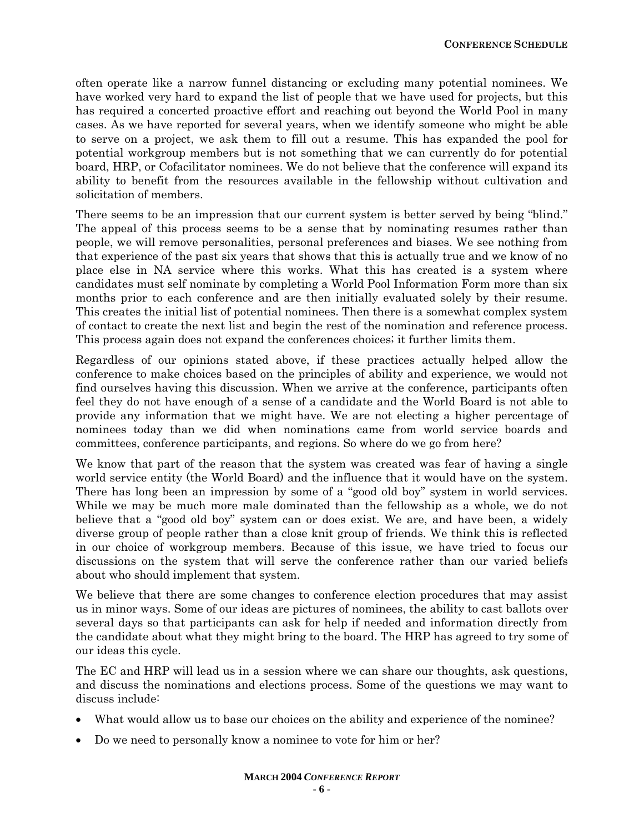often operate like a narrow funnel distancing or excluding many potential nominees. We have worked very hard to expand the list of people that we have used for projects, but this has required a concerted proactive effort and reaching out beyond the World Pool in many cases. As we have reported for several years, when we identify someone who might be able to serve on a project, we ask them to fill out a resume. This has expanded the pool for potential workgroup members but is not something that we can currently do for potential board, HRP, or Cofacilitator nominees. We do not believe that the conference will expand its ability to benefit from the resources available in the fellowship without cultivation and solicitation of members.

There seems to be an impression that our current system is better served by being "blind." The appeal of this process seems to be a sense that by nominating resumes rather than people, we will remove personalities, personal preferences and biases. We see nothing from that experience of the past six years that shows that this is actually true and we know of no place else in NA service where this works. What this has created is a system where candidates must self nominate by completing a World Pool Information Form more than six months prior to each conference and are then initially evaluated solely by their resume. This creates the initial list of potential nominees. Then there is a somewhat complex system of contact to create the next list and begin the rest of the nomination and reference process. This process again does not expand the conferences choices; it further limits them.

Regardless of our opinions stated above, if these practices actually helped allow the conference to make choices based on the principles of ability and experience, we would not find ourselves having this discussion. When we arrive at the conference, participants often feel they do not have enough of a sense of a candidate and the World Board is not able to provide any information that we might have. We are not electing a higher percentage of nominees today than we did when nominations came from world service boards and committees, conference participants, and regions. So where do we go from here?

We know that part of the reason that the system was created was fear of having a single world service entity (the World Board) and the influence that it would have on the system. There has long been an impression by some of a "good old boy" system in world services. While we may be much more male dominated than the fellowship as a whole, we do not believe that a "good old boy" system can or does exist. We are, and have been, a widely diverse group of people rather than a close knit group of friends. We think this is reflected in our choice of workgroup members. Because of this issue, we have tried to focus our discussions on the system that will serve the conference rather than our varied beliefs about who should implement that system.

We believe that there are some changes to conference election procedures that may assist us in minor ways. Some of our ideas are pictures of nominees, the ability to cast ballots over several days so that participants can ask for help if needed and information directly from the candidate about what they might bring to the board. The HRP has agreed to try some of our ideas this cycle.

The EC and HRP will lead us in a session where we can share our thoughts, ask questions, and discuss the nominations and elections process. Some of the questions we may want to discuss include:

- What would allow us to base our choices on the ability and experience of the nominee?
- Do we need to personally know a nominee to vote for him or her?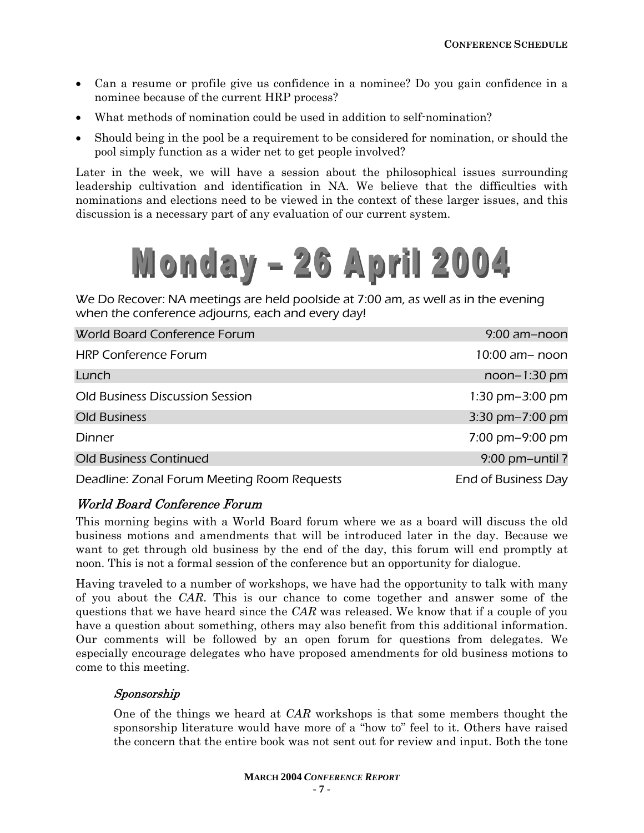- Can a resume or profile give us confidence in a nominee? Do you gain confidence in a nominee because of the current HRP process?
- What methods of nomination could be used in addition to self-nomination?
- Should being in the pool be a requirement to be considered for nomination, or should the pool simply function as a wider net to get people involved?

Later in the week, we will have a session about the philosophical issues surrounding leadership cultivation and identification in NA. We believe that the difficulties with nominations and elections need to be viewed in the context of these larger issues, and this discussion is a necessary part of any evaluation of our current system.

## **Monday - 26 April 2004**

We Do Recover: NA meetings are held poolside at 7:00 am, as well as in the evening when the conference adjourns, each and every day!

| World Board Conference Forum                | $9:00$ am-noon                      |
|---------------------------------------------|-------------------------------------|
| <b>HRP Conference Forum</b>                 | $10:00$ am- $\sqrt{2}$ noon         |
| Lunch                                       | noon- $1:30$ pm                     |
| <b>Old Business Discussion Session</b>      | 1:30 $pm-3:00$ pm                   |
| <b>Old Business</b>                         | $3:30$ pm $-7:00$ pm                |
| Dinner                                      | $7:00 \text{ pm} - 9:00 \text{ pm}$ |
| <b>Old Business Continued</b>               | $9:00$ pm-until?                    |
| Deadline: Zonal Forum Meeting Room Requests | End of Business Day                 |

#### World Board Conference Forum

This morning begins with a World Board forum where we as a board will discuss the old business motions and amendments that will be introduced later in the day. Because we want to get through old business by the end of the day, this forum will end promptly at noon. This is not a formal session of the conference but an opportunity for dialogue.

Having traveled to a number of workshops, we have had the opportunity to talk with many of you about the *CAR*. This is our chance to come together and answer some of the questions that we have heard since the *CAR* was released. We know that if a couple of you have a question about something, others may also benefit from this additional information. Our comments will be followed by an open forum for questions from delegates. We especially encourage delegates who have proposed amendments for old business motions to come to this meeting.

#### Sponsorship

One of the things we heard at *CAR* workshops is that some members thought the sponsorship literature would have more of a "how to" feel to it. Others have raised the concern that the entire book was not sent out for review and input. Both the tone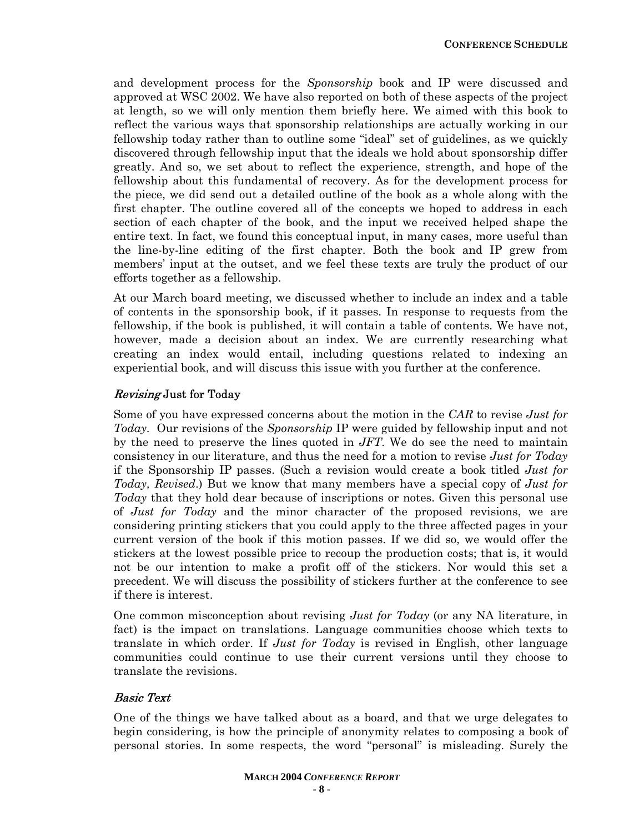and development process for the *Sponsorship* book and IP were discussed and approved at WSC 2002. We have also reported on both of these aspects of the project at length, so we will only mention them briefly here. We aimed with this book to reflect the various ways that sponsorship relationships are actually working in our fellowship today rather than to outline some "ideal" set of guidelines, as we quickly discovered through fellowship input that the ideals we hold about sponsorship differ greatly. And so, we set about to reflect the experience, strength, and hope of the fellowship about this fundamental of recovery. As for the development process for the piece, we did send out a detailed outline of the book as a whole along with the first chapter. The outline covered all of the concepts we hoped to address in each section of each chapter of the book, and the input we received helped shape the entire text. In fact, we found this conceptual input, in many cases, more useful than the line-by-line editing of the first chapter. Both the book and IP grew from members' input at the outset, and we feel these texts are truly the product of our efforts together as a fellowship.

At our March board meeting, we discussed whether to include an index and a table of contents in the sponsorship book, if it passes. In response to requests from the fellowship, if the book is published, it will contain a table of contents. We have not, however, made a decision about an index. We are currently researching what creating an index would entail, including questions related to indexing an experiential book, and will discuss this issue with you further at the conference.

#### Revising Just for Today

Some of you have expressed concerns about the motion in the *CAR* to revise *Just for Today.* Our revisions of the *Sponsorship* IP were guided by fellowship input and not by the need to preserve the lines quoted in *JFT*. We do see the need to maintain consistency in our literature, and thus the need for a motion to revise *Just for Today*  if the Sponsorship IP passes. (Such a revision would create a book titled *Just for Today, Revised*.) But we know that many members have a special copy of *Just for Today* that they hold dear because of inscriptions or notes. Given this personal use of *Just for Today* and the minor character of the proposed revisions, we are considering printing stickers that you could apply to the three affected pages in your current version of the book if this motion passes. If we did so, we would offer the stickers at the lowest possible price to recoup the production costs; that is, it would not be our intention to make a profit off of the stickers. Nor would this set a precedent. We will discuss the possibility of stickers further at the conference to see if there is interest.

One common misconception about revising *Just for Today* (or any NA literature, in fact) is the impact on translations. Language communities choose which texts to translate in which order. If *Just for Today* is revised in English, other language communities could continue to use their current versions until they choose to translate the revisions.

#### Basic Text

One of the things we have talked about as a board, and that we urge delegates to begin considering, is how the principle of anonymity relates to composing a book of personal stories. In some respects, the word "personal" is misleading. Surely the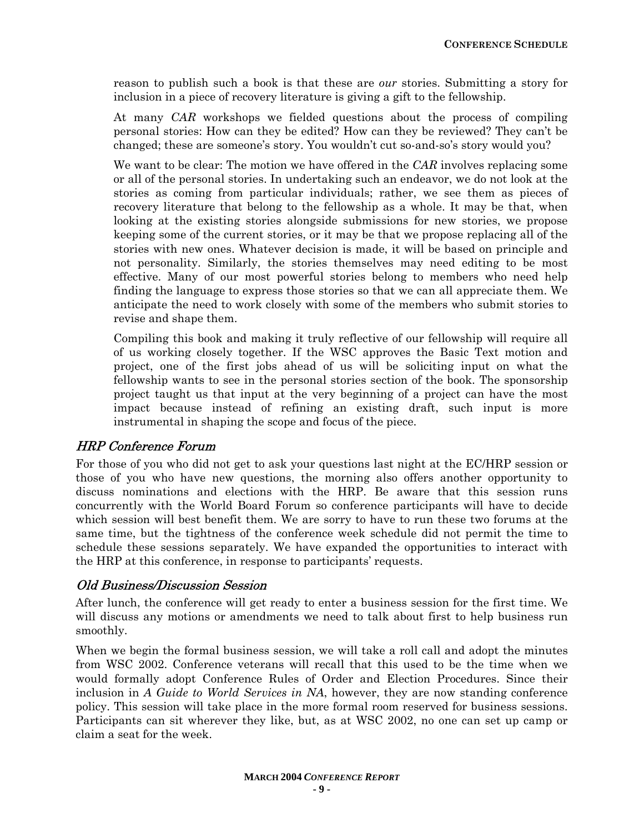reason to publish such a book is that these are *our* stories. Submitting a story for inclusion in a piece of recovery literature is giving a gift to the fellowship.

At many *CAR* workshops we fielded questions about the process of compiling personal stories: How can they be edited? How can they be reviewed? They can't be changed; these are someone's story. You wouldn't cut so-and-so's story would you?

We want to be clear: The motion we have offered in the *CAR* involves replacing some or all of the personal stories. In undertaking such an endeavor, we do not look at the stories as coming from particular individuals; rather, we see them as pieces of recovery literature that belong to the fellowship as a whole. It may be that, when looking at the existing stories alongside submissions for new stories, we propose keeping some of the current stories, or it may be that we propose replacing all of the stories with new ones. Whatever decision is made, it will be based on principle and not personality. Similarly, the stories themselves may need editing to be most effective. Many of our most powerful stories belong to members who need help finding the language to express those stories so that we can all appreciate them. We anticipate the need to work closely with some of the members who submit stories to revise and shape them.

Compiling this book and making it truly reflective of our fellowship will require all of us working closely together. If the WSC approves the Basic Text motion and project, one of the first jobs ahead of us will be soliciting input on what the fellowship wants to see in the personal stories section of the book. The sponsorship project taught us that input at the very beginning of a project can have the most impact because instead of refining an existing draft, such input is more instrumental in shaping the scope and focus of the piece.

#### HRP Conference Forum

For those of you who did not get to ask your questions last night at the EC/HRP session or those of you who have new questions, the morning also offers another opportunity to discuss nominations and elections with the HRP. Be aware that this session runs concurrently with the World Board Forum so conference participants will have to decide which session will best benefit them. We are sorry to have to run these two forums at the same time, but the tightness of the conference week schedule did not permit the time to schedule these sessions separately. We have expanded the opportunities to interact with the HRP at this conference, in response to participants' requests.

#### Old Business/Discussion Session

After lunch, the conference will get ready to enter a business session for the first time. We will discuss any motions or amendments we need to talk about first to help business run smoothly.

When we begin the formal business session, we will take a roll call and adopt the minutes from WSC 2002. Conference veterans will recall that this used to be the time when we would formally adopt Conference Rules of Order and Election Procedures. Since their inclusion in *A Guide to World Services in NA*, however, they are now standing conference policy. This session will take place in the more formal room reserved for business sessions. Participants can sit wherever they like, but, as at WSC 2002, no one can set up camp or claim a seat for the week.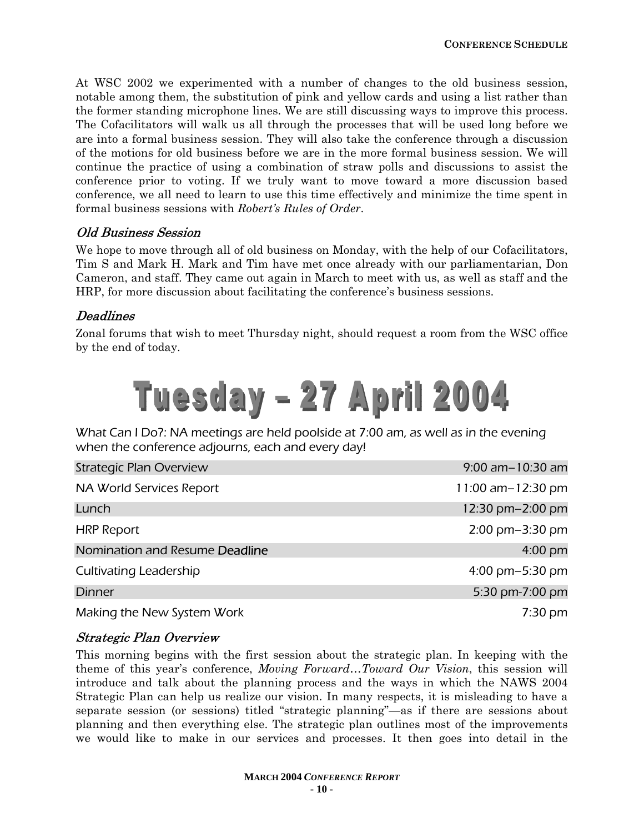At WSC 2002 we experimented with a number of changes to the old business session, notable among them, the substitution of pink and yellow cards and using a list rather than the former standing microphone lines. We are still discussing ways to improve this process. The Cofacilitators will walk us all through the processes that will be used long before we are into a formal business session. They will also take the conference through a discussion of the motions for old business before we are in the more formal business session. We will continue the practice of using a combination of straw polls and discussions to assist the conference prior to voting. If we truly want to move toward a more discussion based conference, we all need to learn to use this time effectively and minimize the time spent in formal business sessions with *Robert's Rules of Order*.

#### Old Business Session

We hope to move through all of old business on Monday, with the help of our Cofacilitators, Tim S and Mark H. Mark and Tim have met once already with our parliamentarian, Don Cameron, and staff. They came out again in March to meet with us, as well as staff and the HRP, for more discussion about facilitating the conference's business sessions.

#### Deadlines

Zonal forums that wish to meet Thursday night, should request a room from the WSC office by the end of today.

# **Tuesday - 27 April 2004**

What Can I Do?: NA meetings are held poolside at 7:00 am, as well as in the evening when the conference adjourns, each and every day!

| <b>Strategic Plan Overview</b> | $9:00$ am $-10:30$ am |
|--------------------------------|-----------------------|
| NA World Services Report       | 11:00 am $-12:30$ pm  |
| Lunch                          | 12:30 $pm-2:00$ pm    |
| <b>HRP Report</b>              | 2:00 pm-3:30 pm       |
| Nomination and Resume Deadline | $4:00 \text{ pm}$     |
| <b>Cultivating Leadership</b>  | 4:00 pm $-5:30$ pm    |
| <b>Dinner</b>                  | 5:30 pm-7:00 pm       |
| Making the New System Work     | $7:30 \text{ pm}$     |

#### Strategic Plan Overview

This morning begins with the first session about the strategic plan. In keeping with the theme of this year's conference, *Moving Forward…Toward Our Vision*, this session will introduce and talk about the planning process and the ways in which the NAWS 2004 Strategic Plan can help us realize our vision. In many respects, it is misleading to have a separate session (or sessions) titled "strategic planning"—as if there are sessions about planning and then everything else. The strategic plan outlines most of the improvements we would like to make in our services and processes. It then goes into detail in the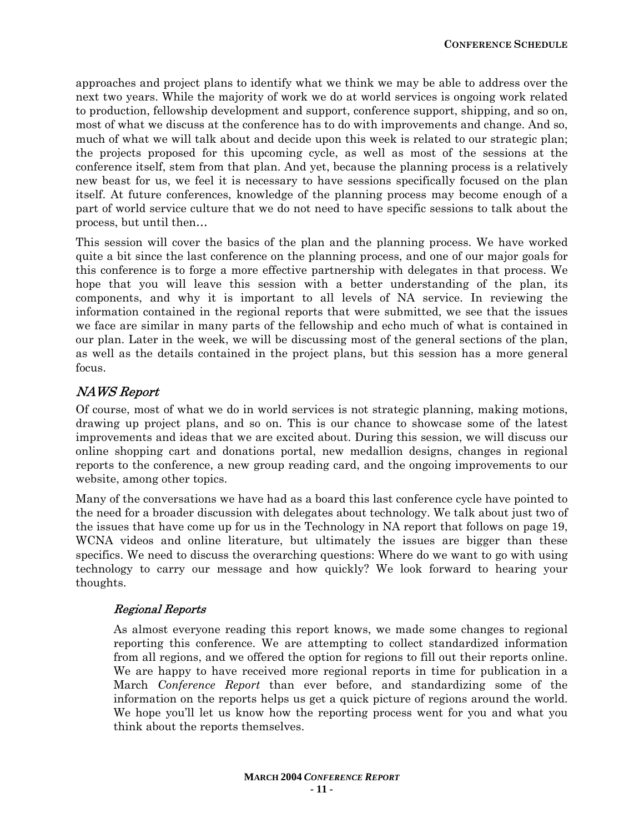approaches and project plans to identify what we think we may be able to address over the next two years. While the majority of work we do at world services is ongoing work related to production, fellowship development and support, conference support, shipping, and so on, most of what we discuss at the conference has to do with improvements and change. And so, much of what we will talk about and decide upon this week is related to our strategic plan; the projects proposed for this upcoming cycle, as well as most of the sessions at the conference itself, stem from that plan. And yet, because the planning process is a relatively new beast for us, we feel it is necessary to have sessions specifically focused on the plan itself. At future conferences, knowledge of the planning process may become enough of a part of world service culture that we do not need to have specific sessions to talk about the process, but until then…

This session will cover the basics of the plan and the planning process. We have worked quite a bit since the last conference on the planning process, and one of our major goals for this conference is to forge a more effective partnership with delegates in that process. We hope that you will leave this session with a better understanding of the plan, its components, and why it is important to all levels of NA service. In reviewing the information contained in the regional reports that were submitted, we see that the issues we face are similar in many parts of the fellowship and echo much of what is contained in our plan. Later in the week, we will be discussing most of the general sections of the plan, as well as the details contained in the project plans, but this session has a more general focus.

#### NAWS Report

Of course, most of what we do in world services is not strategic planning, making motions, drawing up project plans, and so on. This is our chance to showcase some of the latest improvements and ideas that we are excited about. During this session, we will discuss our online shopping cart and donations portal, new medallion designs, changes in regional reports to the conference, a new group reading card, and the ongoing improvements to our website, among other topics.

Many of the conversations we have had as a board this last conference cycle have pointed to the need for a broader discussion with delegates about technology. We talk about just two of the issues that have come up for us in the Technology in NA report that follows on page 19, WCNA videos and online literature, but ultimately the issues are bigger than these specifics. We need to discuss the overarching questions: Where do we want to go with using technology to carry our message and how quickly? We look forward to hearing your thoughts.

#### Regional Reports

As almost everyone reading this report knows, we made some changes to regional reporting this conference. We are attempting to collect standardized information from all regions, and we offered the option for regions to fill out their reports online. We are happy to have received more regional reports in time for publication in a March *Conference Report* than ever before, and standardizing some of the information on the reports helps us get a quick picture of regions around the world. We hope you'll let us know how the reporting process went for you and what you think about the reports themselves.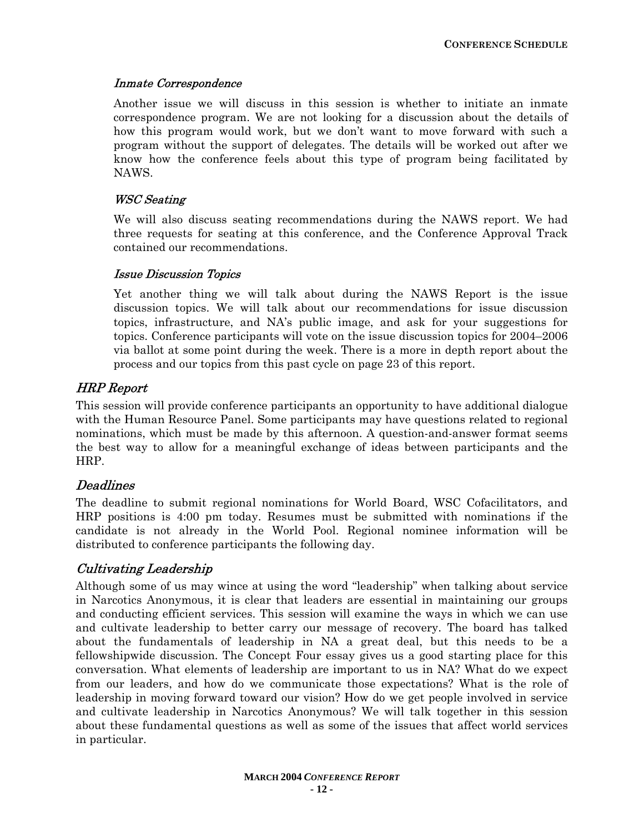#### Inmate Correspondence

Another issue we will discuss in this session is whether to initiate an inmate correspondence program. We are not looking for a discussion about the details of how this program would work, but we don't want to move forward with such a program without the support of delegates. The details will be worked out after we know how the conference feels about this type of program being facilitated by NAWS.

#### WSC Seating

We will also discuss seating recommendations during the NAWS report. We had three requests for seating at this conference, and the Conference Approval Track contained our recommendations.

#### Issue Discussion Topics

Yet another thing we will talk about during the NAWS Report is the issue discussion topics. We will talk about our recommendations for issue discussion topics, infrastructure, and NA's public image, and ask for your suggestions for topics. Conference participants will vote on the issue discussion topics for 2004–2006 via ballot at some point during the week. There is a more in depth report about the process and our topics from this past cycle on page 23 of this report.

#### HRP Report

This session will provide conference participants an opportunity to have additional dialogue with the Human Resource Panel. Some participants may have questions related to regional nominations, which must be made by this afternoon. A question-and-answer format seems the best way to allow for a meaningful exchange of ideas between participants and the HRP.

#### Deadlines

The deadline to submit regional nominations for World Board, WSC Cofacilitators, and HRP positions is 4:00 pm today. Resumes must be submitted with nominations if the candidate is not already in the World Pool. Regional nominee information will be distributed to conference participants the following day.

#### Cultivating Leadership

Although some of us may wince at using the word "leadership" when talking about service in Narcotics Anonymous, it is clear that leaders are essential in maintaining our groups and conducting efficient services. This session will examine the ways in which we can use and cultivate leadership to better carry our message of recovery. The board has talked about the fundamentals of leadership in NA a great deal, but this needs to be a fellowshipwide discussion. The Concept Four essay gives us a good starting place for this conversation. What elements of leadership are important to us in NA? What do we expect from our leaders, and how do we communicate those expectations? What is the role of leadership in moving forward toward our vision? How do we get people involved in service and cultivate leadership in Narcotics Anonymous? We will talk together in this session about these fundamental questions as well as some of the issues that affect world services in particular.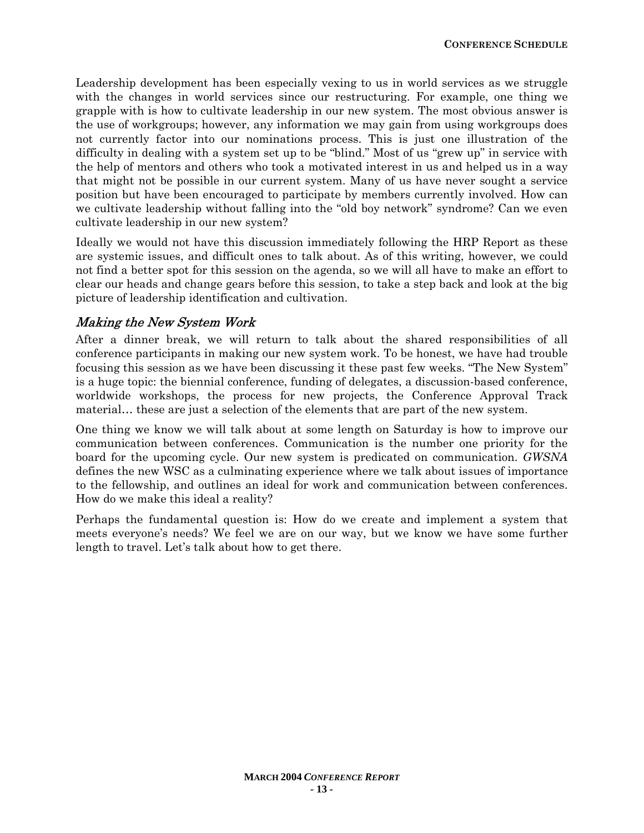Leadership development has been especially vexing to us in world services as we struggle with the changes in world services since our restructuring. For example, one thing we grapple with is how to cultivate leadership in our new system. The most obvious answer is the use of workgroups; however, any information we may gain from using workgroups does not currently factor into our nominations process. This is just one illustration of the difficulty in dealing with a system set up to be "blind." Most of us "grew up" in service with the help of mentors and others who took a motivated interest in us and helped us in a way that might not be possible in our current system. Many of us have never sought a service position but have been encouraged to participate by members currently involved. How can we cultivate leadership without falling into the "old boy network" syndrome? Can we even cultivate leadership in our new system?

Ideally we would not have this discussion immediately following the HRP Report as these are systemic issues, and difficult ones to talk about. As of this writing, however, we could not find a better spot for this session on the agenda, so we will all have to make an effort to clear our heads and change gears before this session, to take a step back and look at the big picture of leadership identification and cultivation.

#### Making the New System Work

After a dinner break, we will return to talk about the shared responsibilities of all conference participants in making our new system work. To be honest, we have had trouble focusing this session as we have been discussing it these past few weeks. "The New System" is a huge topic: the biennial conference, funding of delegates, a discussion-based conference, worldwide workshops, the process for new projects, the Conference Approval Track material… these are just a selection of the elements that are part of the new system.

One thing we know we will talk about at some length on Saturday is how to improve our communication between conferences. Communication is the number one priority for the board for the upcoming cycle. Our new system is predicated on communication. *GWSNA*  defines the new WSC as a culminating experience where we talk about issues of importance to the fellowship, and outlines an ideal for work and communication between conferences. How do we make this ideal a reality?

Perhaps the fundamental question is: How do we create and implement a system that meets everyone's needs? We feel we are on our way, but we know we have some further length to travel. Let's talk about how to get there.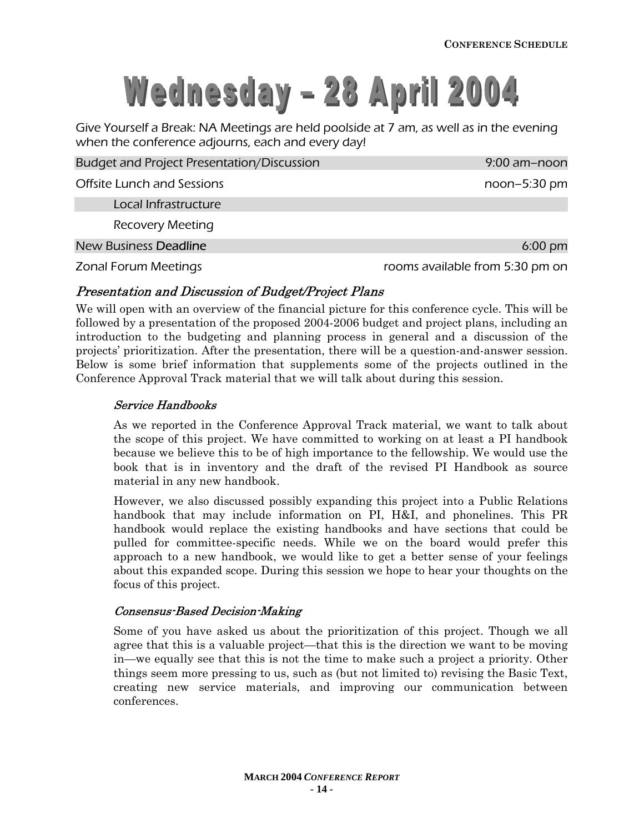# Wednesday - 28 April 2004

Give Yourself a Break: NA Meetings are held poolside at 7 am, as well as in the evening when the conference adjourns, each and every day!

| <b>Budget and Project Presentation/Discussion</b> | $9:00$ am-noon                  |
|---------------------------------------------------|---------------------------------|
| <b>Offsite Lunch and Sessions</b>                 | noon $-5:30$ pm                 |
| Local Infrastructure                              |                                 |
| Recovery Meeting                                  |                                 |
| New Business Deadline                             | $6:00 \text{ pm}$               |
| <b>Zonal Forum Meetings</b>                       | rooms available from 5:30 pm on |

#### Presentation and Discussion of Budget/Project Plans

We will open with an overview of the financial picture for this conference cycle. This will be followed by a presentation of the proposed 2004-2006 budget and project plans, including an introduction to the budgeting and planning process in general and a discussion of the projects' prioritization. After the presentation, there will be a question-and-answer session. Below is some brief information that supplements some of the projects outlined in the Conference Approval Track material that we will talk about during this session.

#### Service Handbooks

As we reported in the Conference Approval Track material, we want to talk about the scope of this project. We have committed to working on at least a PI handbook because we believe this to be of high importance to the fellowship. We would use the book that is in inventory and the draft of the revised PI Handbook as source material in any new handbook.

However, we also discussed possibly expanding this project into a Public Relations handbook that may include information on PI, H&I, and phonelines. This PR handbook would replace the existing handbooks and have sections that could be pulled for committee-specific needs. While we on the board would prefer this approach to a new handbook, we would like to get a better sense of your feelings about this expanded scope. During this session we hope to hear your thoughts on the focus of this project.

#### Consensus-Based Decision-Making

Some of you have asked us about the prioritization of this project. Though we all agree that this is a valuable project—that this is the direction we want to be moving in—we equally see that this is not the time to make such a project a priority. Other things seem more pressing to us, such as (but not limited to) revising the Basic Text, creating new service materials, and improving our communication between conferences.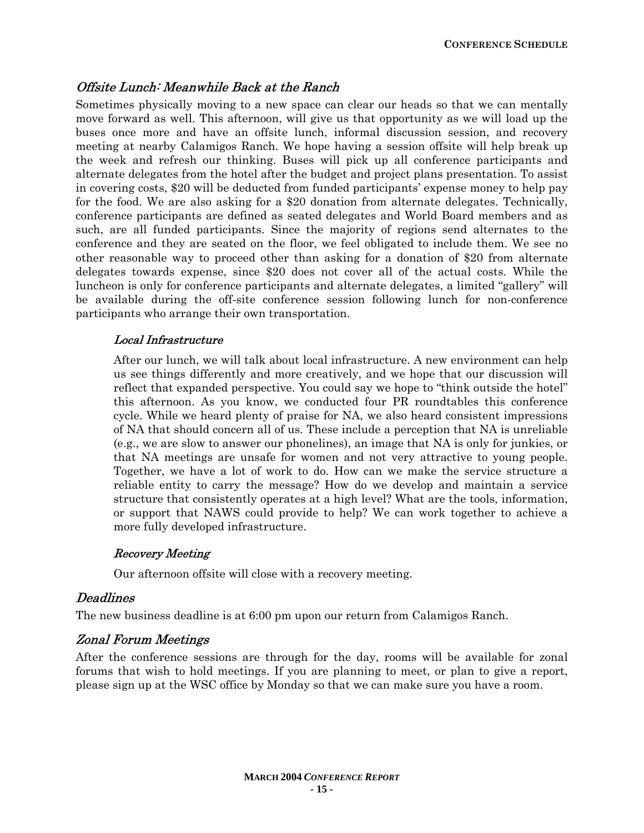#### Offsite Lunch: Meanwhile Back at the Ranch

Sometimes physically moving to a new space can clear our heads so that we can mentally move forward as well. This afternoon, will give us that opportunity as we will load up the buses once more and have an offsite lunch, informal discussion session, and recovery meeting at nearby Calamigos Ranch. We hope having a session offsite will help break up the week and refresh our thinking. Buses will pick up all conference participants and alternate delegates from the hotel after the budget and project plans presentation. To assist in covering costs, \$20 will be deducted from funded participants' expense money to help pay for the food. We are also asking for a \$20 donation from alternate delegates. Technically, conference participants are defined as seated delegates and World Board members and as such, are all funded participants. Since the majority of regions send alternates to the conference and they are seated on the floor, we feel obligated to include them. We see no other reasonable way to proceed other than asking for a donation of \$20 from alternate delegates towards expense, since \$20 does not cover all of the actual costs. While the luncheon is only for conference participants and alternate delegates, a limited "gallery" will be available during the off-site conference session following lunch for non-conference participants who arrange their own transportation.

#### Local Infrastructure

After our lunch, we will talk about local infrastructure. A new environment can help us see things differently and more creatively, and we hope that our discussion will reflect that expanded perspective. You could say we hope to "think outside the hotel" this afternoon. As you know, we conducted four PR roundtables this conference cycle. While we heard plenty of praise for NA, we also heard consistent impressions of NA that should concern all of us. These include a perception that NA is unreliable (e.g., we are slow to answer our phonelines), an image that NA is only for junkies, or that NA meetings are unsafe for women and not very attractive to young people. Together, we have a lot of work to do. How can we make the service structure a reliable entity to carry the message? How do we develop and maintain a service structure that consistently operates at a high level? What are the tools, information, or support that NAWS could provide to help? We can work together to achieve a more fully developed infrastructure.

#### Recovery Meeting

Our afternoon offsite will close with a recovery meeting.

#### Deadlines

The new business deadline is at 6:00 pm upon our return from Calamigos Ranch.

#### Zonal Forum Meetings

After the conference sessions are through for the day, rooms will be available for zonal forums that wish to hold meetings. If you are planning to meet, or plan to give a report, please sign up at the WSC office by Monday so that we can make sure you have a room.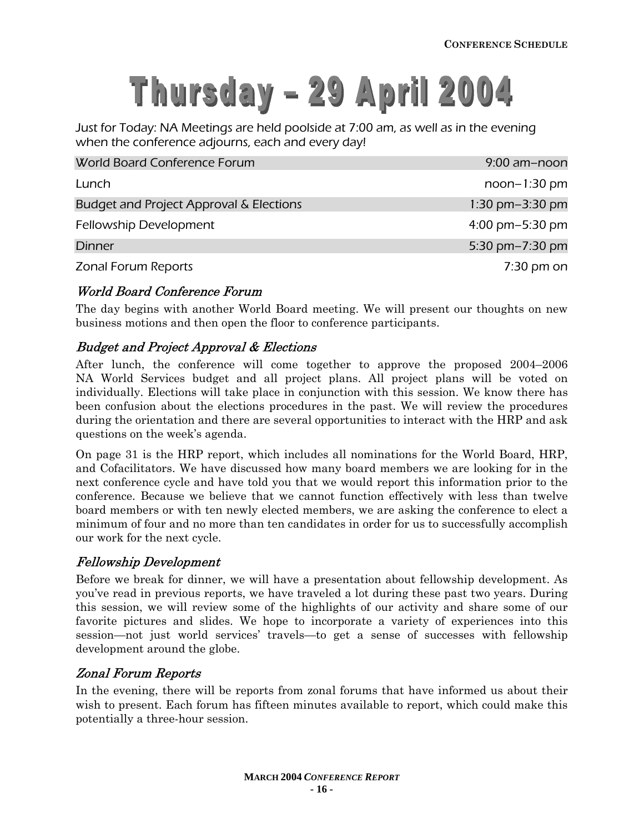# Thursday - 29 April 2004

Just for Today: NA Meetings are held poolside at 7:00 am, as well as in the evening when the conference adjourns, each and every day!

| World Board Conference Forum            | 9:00 am-noon       |
|-----------------------------------------|--------------------|
| Lunch                                   | noon- $1:30$ pm    |
| Budget and Project Approval & Elections | 1:30 $pm-3:30$ pm  |
| Fellowship Development                  | 4:00 pm $-5:30$ pm |
| <b>Dinner</b>                           | 5:30 pm $-7:30$ pm |
| <b>Zonal Forum Reports</b>              | $7:30$ pm on       |

#### World Board Conference Forum

The day begins with another World Board meeting. We will present our thoughts on new business motions and then open the floor to conference participants.

#### Budget and Project Approval & Elections

After lunch, the conference will come together to approve the proposed 2004–2006 NA World Services budget and all project plans. All project plans will be voted on individually. Elections will take place in conjunction with this session. We know there has been confusion about the elections procedures in the past. We will review the procedures during the orientation and there are several opportunities to interact with the HRP and ask questions on the week's agenda.

On page 31 is the HRP report, which includes all nominations for the World Board, HRP, and Cofacilitators. We have discussed how many board members we are looking for in the next conference cycle and have told you that we would report this information prior to the conference. Because we believe that we cannot function effectively with less than twelve board members or with ten newly elected members, we are asking the conference to elect a minimum of four and no more than ten candidates in order for us to successfully accomplish our work for the next cycle.

#### Fellowship Development

Before we break for dinner, we will have a presentation about fellowship development. As you've read in previous reports, we have traveled a lot during these past two years. During this session, we will review some of the highlights of our activity and share some of our favorite pictures and slides. We hope to incorporate a variety of experiences into this session—not just world services' travels—to get a sense of successes with fellowship development around the globe.

#### Zonal Forum Reports

In the evening, there will be reports from zonal forums that have informed us about their wish to present. Each forum has fifteen minutes available to report, which could make this potentially a three-hour session.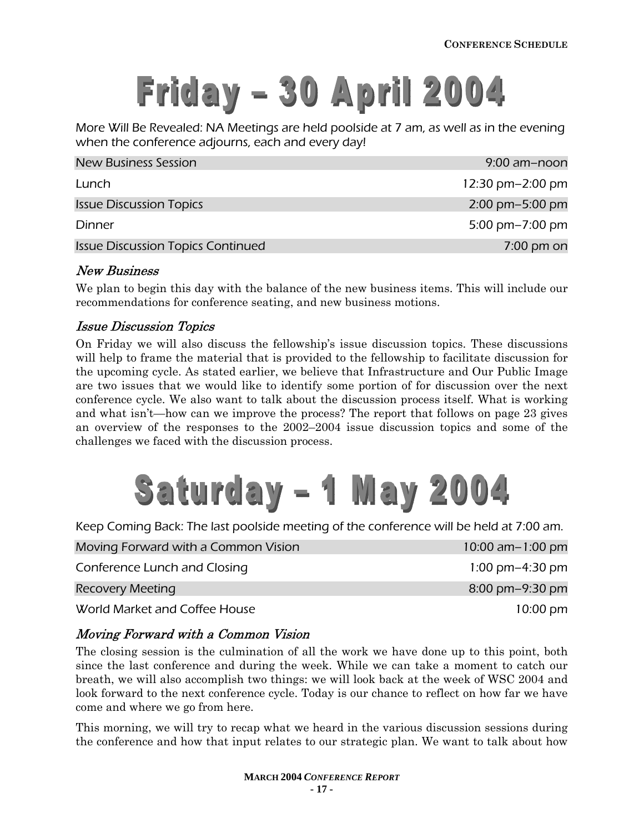# **Friday - 30 April 2004**

More Will Be Revealed: NA Meetings are held poolside at 7 am, as well as in the evening when the conference adjourns, each and every day!

| New Business Session                     | $9:00$ am-noon                      |
|------------------------------------------|-------------------------------------|
| Lunch                                    | 12:30 $pm-2:00$ pm                  |
| <b>Issue Discussion Topics</b>           | $2:00 \text{ pm} - 5:00 \text{ pm}$ |
| Dinner                                   | 5:00 pm $-7:00$ pm                  |
| <b>Issue Discussion Topics Continued</b> | $7:00$ pm on                        |

#### New Business

We plan to begin this day with the balance of the new business items. This will include our recommendations for conference seating, and new business motions.

#### Issue Discussion Topics

On Friday we will also discuss the fellowship's issue discussion topics. These discussions will help to frame the material that is provided to the fellowship to facilitate discussion for the upcoming cycle. As stated earlier, we believe that Infrastructure and Our Public Image are two issues that we would like to identify some portion of for discussion over the next conference cycle. We also want to talk about the discussion process itself. What is working and what isn't—how can we improve the process? The report that follows on page 23 gives an overview of the responses to the 2002–2004 issue discussion topics and some of the challenges we faced with the discussion process.

## **Saturday - 1 May 2004**

Keep Coming Back: The last poolside meeting of the conference will be held at 7:00 am.

| Moving Forward with a Common Vision | 10:00 am $-1:00$ pm                 |
|-------------------------------------|-------------------------------------|
| Conference Lunch and Closing        | 1:00 $pm-4:30$ pm                   |
| <b>Recovery Meeting</b>             | $8:00 \text{ pm} - 9:30 \text{ pm}$ |
| World Market and Coffee House       | $10:00 \text{ pm}$                  |

#### Moving Forward with a Common Vision

The closing session is the culmination of all the work we have done up to this point, both since the last conference and during the week. While we can take a moment to catch our breath, we will also accomplish two things: we will look back at the week of WSC 2004 and look forward to the next conference cycle. Today is our chance to reflect on how far we have come and where we go from here.

This morning, we will try to recap what we heard in the various discussion sessions during the conference and how that input relates to our strategic plan. We want to talk about how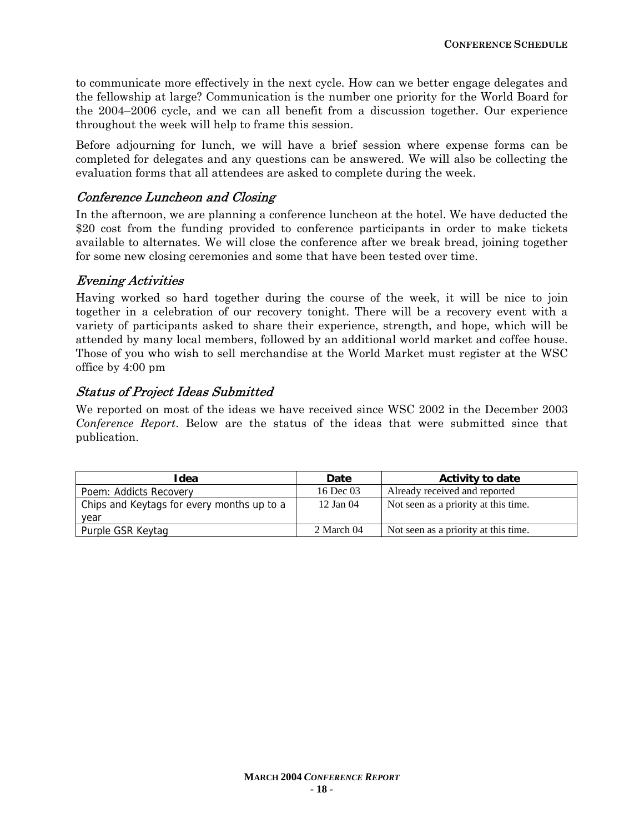to communicate more effectively in the next cycle. How can we better engage delegates and the fellowship at large? Communication is the number one priority for the World Board for the 2004–2006 cycle, and we can all benefit from a discussion together. Our experience throughout the week will help to frame this session.

Before adjourning for lunch, we will have a brief session where expense forms can be completed for delegates and any questions can be answered. We will also be collecting the evaluation forms that all attendees are asked to complete during the week.

#### Conference Luncheon and Closing

In the afternoon, we are planning a conference luncheon at the hotel. We have deducted the \$20 cost from the funding provided to conference participants in order to make tickets available to alternates. We will close the conference after we break bread, joining together for some new closing ceremonies and some that have been tested over time.

#### Evening Activities

Having worked so hard together during the course of the week, it will be nice to join together in a celebration of our recovery tonight. There will be a recovery event with a variety of participants asked to share their experience, strength, and hope, which will be attended by many local members, followed by an additional world market and coffee house. Those of you who wish to sell merchandise at the World Market must register at the WSC office by 4:00 pm

#### Status of Project Ideas Submitted

We reported on most of the ideas we have received since WSC 2002 in the December 2003 *Conference Report*. Below are the status of the ideas that were submitted since that publication.

| Idea                                       | Date          | <b>Activity to date</b>              |
|--------------------------------------------|---------------|--------------------------------------|
| Poem: Addicts Recovery                     | 16 Dec 03     | Already received and reported        |
| Chips and Keytags for every months up to a | $12$ Jan $04$ | Not seen as a priority at this time. |
| vear                                       |               |                                      |
| Purple GSR Keytag                          | 2 March 04    | Not seen as a priority at this time. |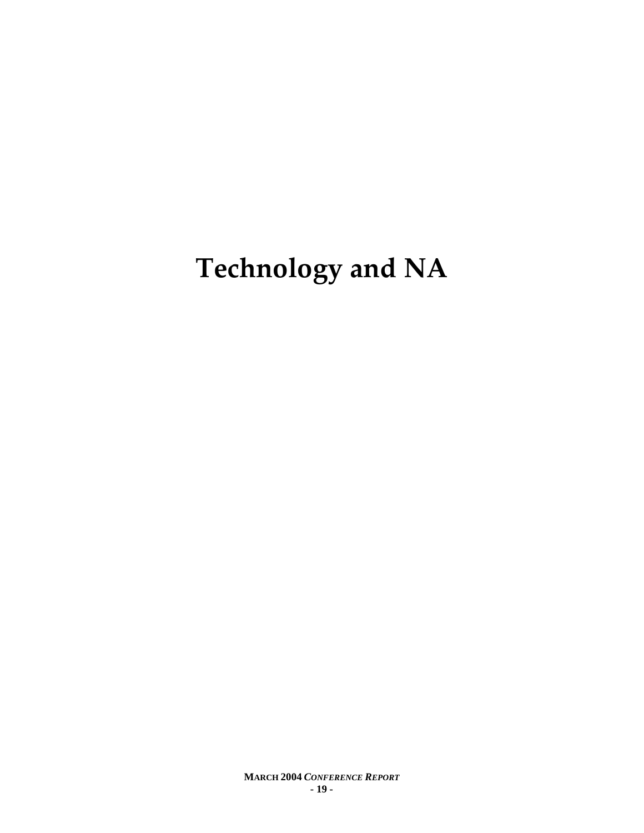### **Technology and NA**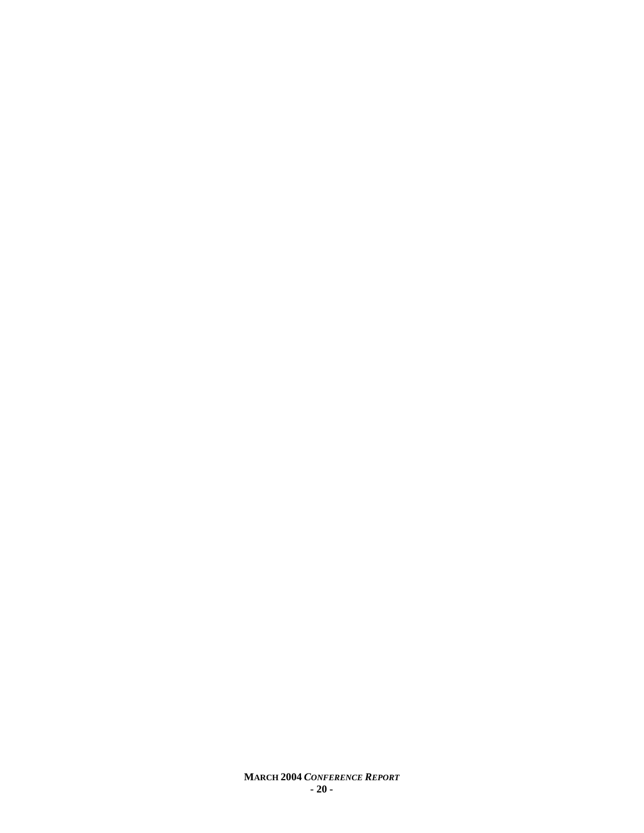#### **MARCH 2004** *CONFERENCE REPORT* **- 20 -**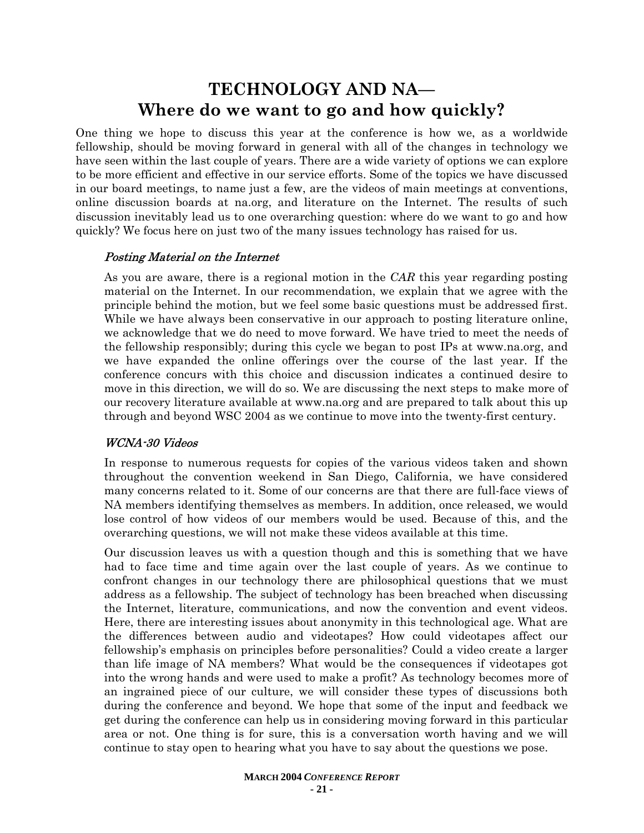#### **TECHNOLOGY AND NA— Where do we want to go and how quickly?**

One thing we hope to discuss this year at the conference is how we, as a worldwide fellowship, should be moving forward in general with all of the changes in technology we have seen within the last couple of years. There are a wide variety of options we can explore to be more efficient and effective in our service efforts. Some of the topics we have discussed in our board meetings, to name just a few, are the videos of main meetings at conventions, online discussion boards at na.org, and literature on the Internet. The results of such discussion inevitably lead us to one overarching question: where do we want to go and how quickly? We focus here on just two of the many issues technology has raised for us.

#### Posting Material on the Internet

As you are aware, there is a regional motion in the *CAR* this year regarding posting material on the Internet. In our recommendation, we explain that we agree with the principle behind the motion, but we feel some basic questions must be addressed first. While we have always been conservative in our approach to posting literature online, we acknowledge that we do need to move forward. We have tried to meet the needs of the fellowship responsibly; during this cycle we began to post IPs at www.na.org, and we have expanded the online offerings over the course of the last year. If the conference concurs with this choice and discussion indicates a continued desire to move in this direction, we will do so. We are discussing the next steps to make more of our recovery literature available at www.na.org and are prepared to talk about this up through and beyond WSC 2004 as we continue to move into the twenty-first century.

#### WCNA-30 Videos

In response to numerous requests for copies of the various videos taken and shown throughout the convention weekend in San Diego, California, we have considered many concerns related to it. Some of our concerns are that there are full-face views of NA members identifying themselves as members. In addition, once released, we would lose control of how videos of our members would be used. Because of this, and the overarching questions, we will not make these videos available at this time.

Our discussion leaves us with a question though and this is something that we have had to face time and time again over the last couple of years. As we continue to confront changes in our technology there are philosophical questions that we must address as a fellowship. The subject of technology has been breached when discussing the Internet, literature, communications, and now the convention and event videos. Here, there are interesting issues about anonymity in this technological age. What are the differences between audio and videotapes? How could videotapes affect our fellowship's emphasis on principles before personalities? Could a video create a larger than life image of NA members? What would be the consequences if videotapes got into the wrong hands and were used to make a profit? As technology becomes more of an ingrained piece of our culture, we will consider these types of discussions both during the conference and beyond. We hope that some of the input and feedback we get during the conference can help us in considering moving forward in this particular area or not. One thing is for sure, this is a conversation worth having and we will continue to stay open to hearing what you have to say about the questions we pose.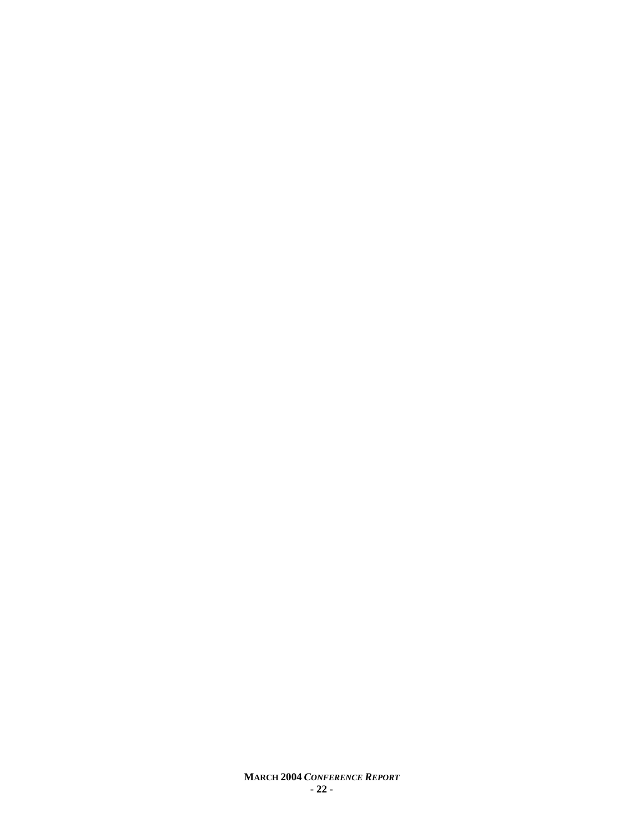#### **MARCH 2004** *CONFERENCE REPORT* **- 22 -**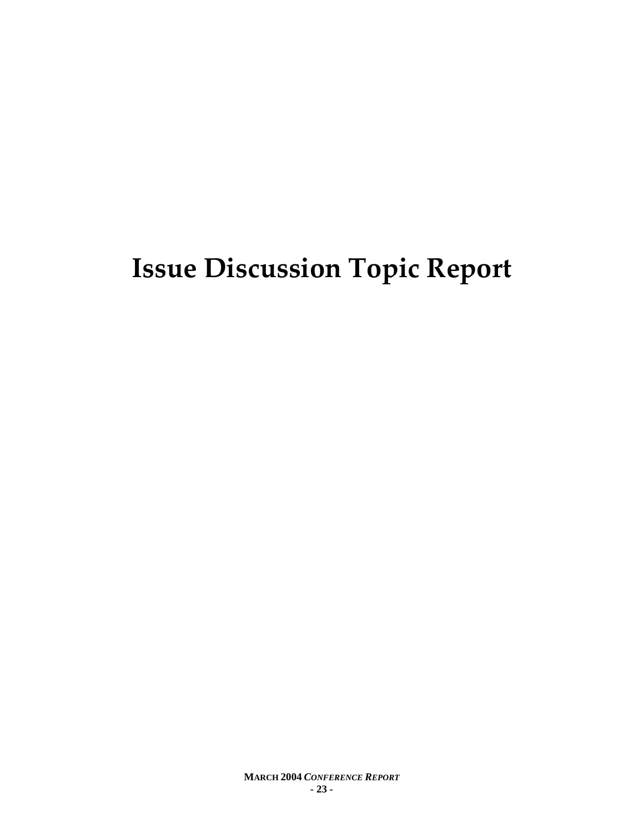### **Issue Discussion Topic Report**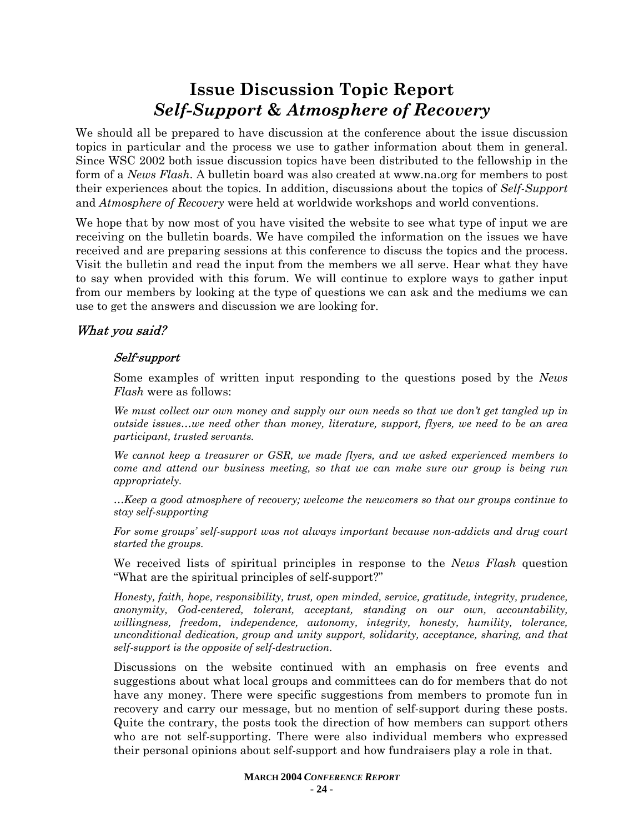#### **Issue Discussion Topic Report**  *Self-Support* **&** *Atmosphere of Recovery*

We should all be prepared to have discussion at the conference about the issue discussion topics in particular and the process we use to gather information about them in general. Since WSC 2002 both issue discussion topics have been distributed to the fellowship in the form of a *News Flash*. A bulletin board was also created at www.na.org for members to post their experiences about the topics. In addition, discussions about the topics of *Self-Support* and *Atmosphere of Recovery* were held at worldwide workshops and world conventions.

We hope that by now most of you have visited the website to see what type of input we are receiving on the bulletin boards. We have compiled the information on the issues we have received and are preparing sessions at this conference to discuss the topics and the process. Visit the bulletin and read the input from the members we all serve. Hear what they have to say when provided with this forum. We will continue to explore ways to gather input from our members by looking at the type of questions we can ask and the mediums we can use to get the answers and discussion we are looking for.

#### What you said?

#### Self-support

Some examples of written input responding to the questions posed by the *News Flash* were as follows:

*We must collect our own money and supply our own needs so that we don't get tangled up in outside issues…we need other than money, literature, support, flyers, we need to be an area participant, trusted servants.* 

*We cannot keep a treasurer or GSR, we made flyers, and we asked experienced members to come and attend our business meeting, so that we can make sure our group is being run appropriately.* 

*…Keep a good atmosphere of recovery; welcome the newcomers so that our groups continue to stay self-supporting* 

*For some groups' self-support was not always important because non-addicts and drug court started the groups.* 

We received lists of spiritual principles in response to the *News Flash* question "What are the spiritual principles of self-support?"

*Honesty, faith, hope, responsibility, trust, open minded, service, gratitude, integrity, prudence, anonymity, God-centered, tolerant, acceptant, standing on our own, accountability, willingness, freedom, independence, autonomy, integrity, honesty, humility, tolerance, unconditional dedication, group and unity support, solidarity, acceptance, sharing, and that self-support is the opposite of self-destruction.* 

Discussions on the website continued with an emphasis on free events and suggestions about what local groups and committees can do for members that do not have any money. There were specific suggestions from members to promote fun in recovery and carry our message, but no mention of self-support during these posts. Quite the contrary, the posts took the direction of how members can support others who are not self-supporting. There were also individual members who expressed their personal opinions about self-support and how fundraisers play a role in that.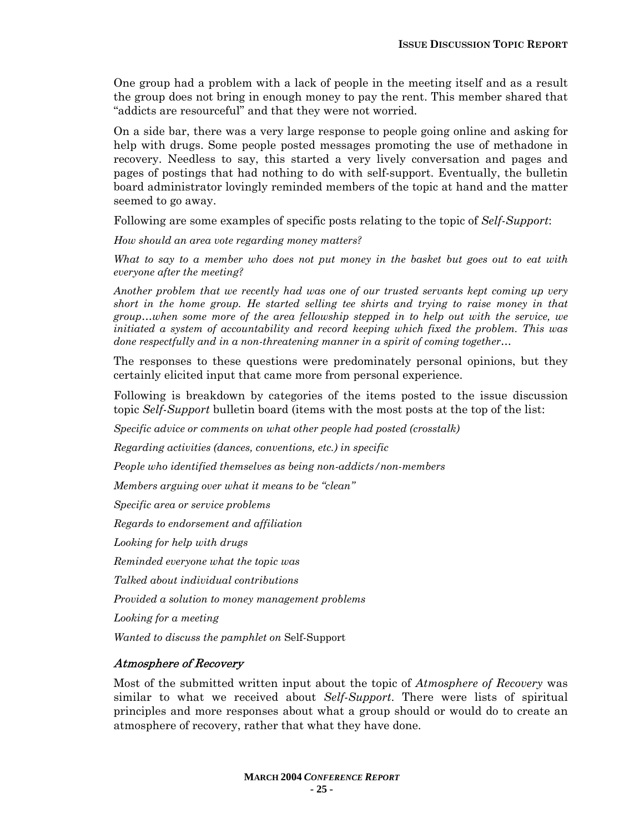One group had a problem with a lack of people in the meeting itself and as a result the group does not bring in enough money to pay the rent. This member shared that "addicts are resourceful" and that they were not worried.

On a side bar, there was a very large response to people going online and asking for help with drugs. Some people posted messages promoting the use of methadone in recovery. Needless to say, this started a very lively conversation and pages and pages of postings that had nothing to do with self-support. Eventually, the bulletin board administrator lovingly reminded members of the topic at hand and the matter seemed to go away.

Following are some examples of specific posts relating to the topic of *Self-Support*:

*How should an area vote regarding money matters?* 

*What to say to a member who does not put money in the basket but goes out to eat with everyone after the meeting?* 

*Another problem that we recently had was one of our trusted servants kept coming up very short in the home group. He started selling tee shirts and trying to raise money in that group…when some more of the area fellowship stepped in to help out with the service, we initiated a system of accountability and record keeping which fixed the problem. This was done respectfully and in a non-threatening manner in a spirit of coming together…* 

The responses to these questions were predominately personal opinions, but they certainly elicited input that came more from personal experience.

Following is breakdown by categories of the items posted to the issue discussion topic *Self-Support* bulletin board (items with the most posts at the top of the list:

*Specific advice or comments on what other people had posted (crosstalk)* 

*Regarding activities (dances, conventions, etc.) in specific* 

*People who identified themselves as being non-addicts/non-members* 

*Members arguing over what it means to be "clean"* 

*Specific area or service problems* 

*Regards to endorsement and affiliation* 

*Looking for help with drugs* 

*Reminded everyone what the topic was* 

*Talked about individual contributions* 

*Provided a solution to money management problems* 

*Looking for a meeting* 

*Wanted to discuss the pamphlet on* Self-Support

#### Atmosphere of Recovery

Most of the submitted written input about the topic of *Atmosphere of Recovery* was similar to what we received about *Self-Support*. There were lists of spiritual principles and more responses about what a group should or would do to create an atmosphere of recovery, rather that what they have done.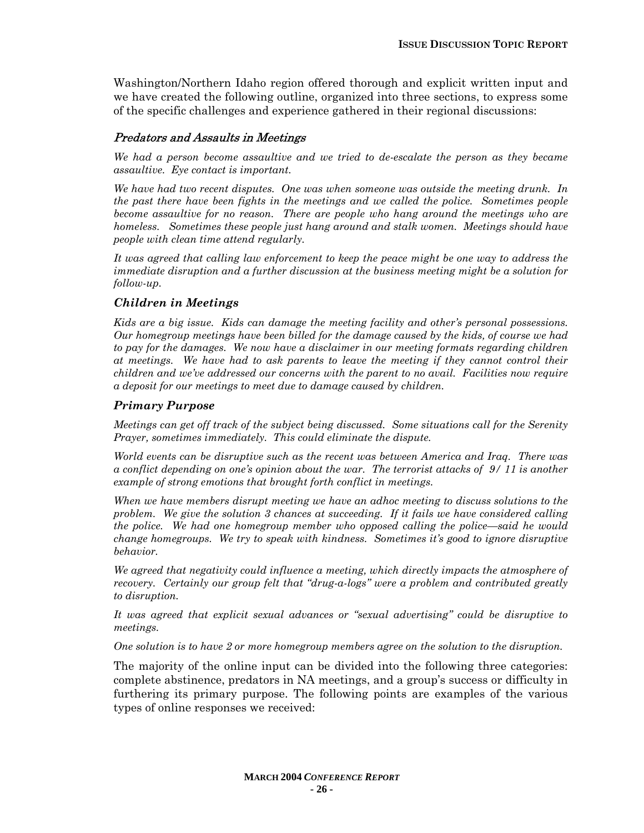Washington/Northern Idaho region offered thorough and explicit written input and we have created the following outline, organized into three sections, to express some of the specific challenges and experience gathered in their regional discussions:

#### Predators and Assaults in Meetings

*We had a person become assaultive and we tried to de-escalate the person as they became assaultive. Eye contact is important.* 

*We have had two recent disputes. One was when someone was outside the meeting drunk. In the past there have been fights in the meetings and we called the police. Sometimes people become assaultive for no reason. There are people who hang around the meetings who are homeless. Sometimes these people just hang around and stalk women. Meetings should have people with clean time attend regularly.* 

*It was agreed that calling law enforcement to keep the peace might be one way to address the immediate disruption and a further discussion at the business meeting might be a solution for follow-up.* 

#### *Children in Meetings*

*Kids are a big issue. Kids can damage the meeting facility and other's personal possessions. Our homegroup meetings have been billed for the damage caused by the kids, of course we had to pay for the damages. We now have a disclaimer in our meeting formats regarding children at meetings. We have had to ask parents to leave the meeting if they cannot control their children and we've addressed our concerns with the parent to no avail. Facilities now require a deposit for our meetings to meet due to damage caused by children.* 

#### *Primary Purpose*

*Meetings can get off track of the subject being discussed. Some situations call for the Serenity Prayer, sometimes immediately. This could eliminate the dispute.* 

*World events can be disruptive such as the recent was between America and Iraq. There was a conflict depending on one's opinion about the war. The terrorist attacks of 9/ 11 is another example of strong emotions that brought forth conflict in meetings.* 

*When we have members disrupt meeting we have an adhoc meeting to discuss solutions to the problem. We give the solution 3 chances at succeeding. If it fails we have considered calling the police. We had one homegroup member who opposed calling the police—said he would change homegroups. We try to speak with kindness. Sometimes it's good to ignore disruptive behavior.* 

*We agreed that negativity could influence a meeting, which directly impacts the atmosphere of recovery. Certainly our group felt that "drug-a-logs" were a problem and contributed greatly to disruption.* 

*It was agreed that explicit sexual advances or "sexual advertising" could be disruptive to meetings.* 

*One solution is to have 2 or more homegroup members agree on the solution to the disruption.* 

The majority of the online input can be divided into the following three categories: complete abstinence, predators in NA meetings, and a group's success or difficulty in furthering its primary purpose. The following points are examples of the various types of online responses we received: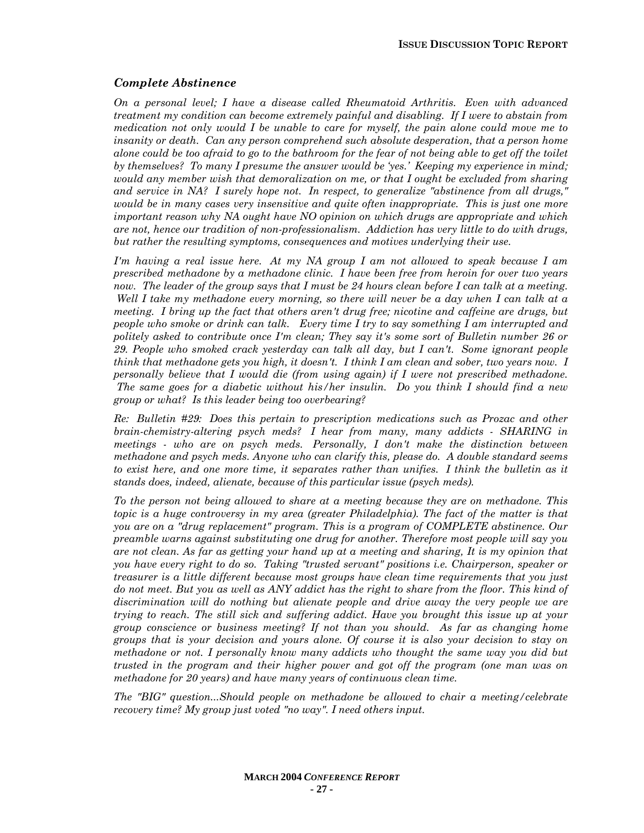#### *Complete Abstinence*

*On a personal level; I have a disease called Rheumatoid Arthritis. Even with advanced treatment my condition can become extremely painful and disabling. If I were to abstain from medication not only would I be unable to care for myself, the pain alone could move me to insanity or death.* Can any person comprehend such absolute desperation, that a person home *alone could be too afraid to go to the bathroom for the fear of not being able to get off the toilet by themselves? To many I presume the answer would be 'yes.' Keeping my experience in mind; would any member wish that demoralization on me, or that I ought be excluded from sharing and service in NA? I surely hope not. In respect, to generalize "abstinence from all drugs," would be in many cases very insensitive and quite often inappropriate. This is just one more important reason why NA ought have NO opinion on which drugs are appropriate and which are not, hence our tradition of non-professionalism. Addiction has very little to do with drugs, but rather the resulting symptoms, consequences and motives underlying their use.* 

*I'm having a real issue here. At my NA group I am not allowed to speak because I am prescribed methadone by a methadone clinic. I have been free from heroin for over two years now. The leader of the group says that I must be 24 hours clean before I can talk at a meeting. Well I take my methadone every morning, so there will never be a day when I can talk at a meeting. I bring up the fact that others aren't drug free; nicotine and caffeine are drugs, but people who smoke or drink can talk. Every time I try to say something I am interrupted and politely asked to contribute once I'm clean; They say it's some sort of Bulletin number 26 or 29. People who smoked crack yesterday can talk all day, but I can't. Some ignorant people think that methadone gets you high, it doesn't. I think I am clean and sober, two years now. I personally believe that I would die (from using again) if I were not prescribed methadone. The same goes for a diabetic without his/her insulin. Do you think I should find a new group or what? Is this leader being too overbearing?* 

*Re: Bulletin #29: Does this pertain to prescription medications such as Prozac and other brain-chemistry-altering psych meds? I hear from many, many addicts - SHARING in meetings - who are on psych meds. Personally, I don't make the distinction between methadone and psych meds. Anyone who can clarify this, please do. A double standard seems to exist here, and one more time, it separates rather than unifies. I think the bulletin as it stands does, indeed, alienate, because of this particular issue (psych meds).* 

*To the person not being allowed to share at a meeting because they are on methadone. This topic is a huge controversy in my area (greater Philadelphia). The fact of the matter is that you are on a "drug replacement" program. This is a program of COMPLETE abstinence. Our preamble warns against substituting one drug for another. Therefore most people will say you are not clean. As far as getting your hand up at a meeting and sharing, It is my opinion that you have every right to do so. Taking "trusted servant" positions i.e. Chairperson, speaker or treasurer is a little different because most groups have clean time requirements that you just*  do not meet. But you as well as ANY addict has the right to share from the floor. This kind of *discrimination will do nothing but alienate people and drive away the very people we are trying to reach. The still sick and suffering addict. Have you brought this issue up at your group conscience or business meeting? If not than you should. As far as changing home groups that is your decision and yours alone. Of course it is also your decision to stay on methadone or not. I personally know many addicts who thought the same way you did but trusted in the program and their higher power and got off the program (one man was on methadone for 20 years) and have many years of continuous clean time.* 

*The "BIG" question...Should people on methadone be allowed to chair a meeting/celebrate recovery time? My group just voted "no way". I need others input.*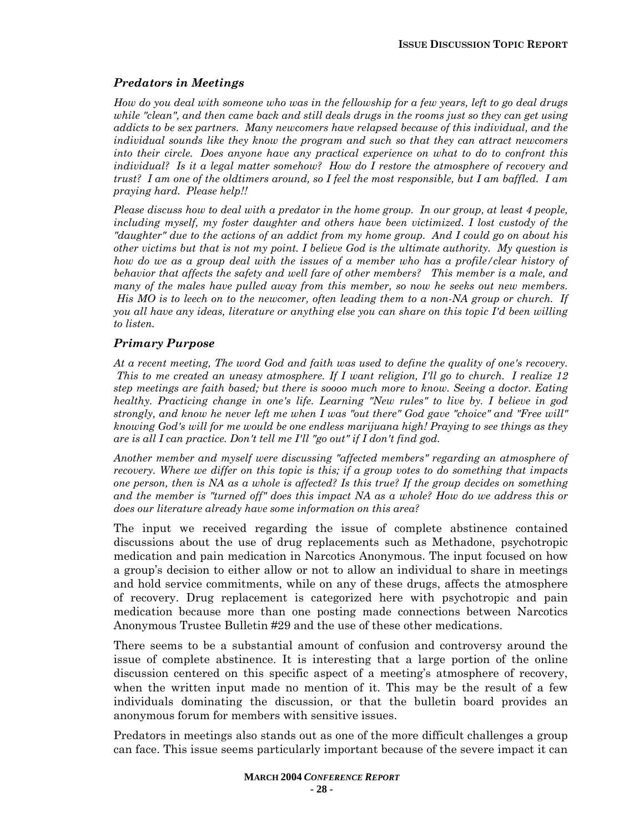#### *Predators in Meetings*

*How do you deal with someone who was in the fellowship for a few years, left to go deal drugs while "clean", and then came back and still deals drugs in the rooms just so they can get using addicts to be sex partners. Many newcomers have relapsed because of this individual, and the individual sounds like they know the program and such so that they can attract newcomers into their circle. Does anyone have any practical experience on what to do to confront this individual? Is it a legal matter somehow? How do I restore the atmosphere of recovery and trust? I am one of the oldtimers around, so I feel the most responsible, but I am baffled. I am praying hard. Please help!!* 

*Please discuss how to deal with a predator in the home group. In our group, at least 4 people, including myself, my foster daughter and others have been victimized. I lost custody of the "daughter" due to the actions of an addict from my home group. And I could go on about his other victims but that is not my point. I believe God is the ultimate authority. My question is how do we as a group deal with the issues of a member who has a profile/clear history of behavior that affects the safety and well fare of other members? This member is a male, and many of the males have pulled away from this member, so now he seeks out new members. His MO is to leech on to the newcomer, often leading them to a non-NA group or church. If you all have any ideas, literature or anything else you can share on this topic I'd been willing to listen.* 

#### *Primary Purpose*

*At a recent meeting, The word God and faith was used to define the quality of one's recovery. This to me created an uneasy atmosphere. If I want religion, I'll go to church. I realize 12 step meetings are faith based; but there is soooo much more to know. Seeing a doctor. Eating healthy. Practicing change in one's life. Learning "New rules" to live by. I believe in god strongly, and know he never left me when I was "out there" God gave "choice" and "Free will" knowing God's will for me would be one endless marijuana high! Praying to see things as they are is all I can practice. Don't tell me I'll "go out" if I don't find god.* 

*Another member and myself were discussing "affected members" regarding an atmosphere of recovery. Where we differ on this topic is this; if a group votes to do something that impacts one person, then is NA as a whole is affected? Is this true? If the group decides on something and the member is "turned off" does this impact NA as a whole? How do we address this or does our literature already have some information on this area?* 

The input we received regarding the issue of complete abstinence contained discussions about the use of drug replacements such as Methadone, psychotropic medication and pain medication in Narcotics Anonymous. The input focused on how a group's decision to either allow or not to allow an individual to share in meetings and hold service commitments, while on any of these drugs, affects the atmosphere of recovery. Drug replacement is categorized here with psychotropic and pain medication because more than one posting made connections between Narcotics Anonymous Trustee Bulletin #29 and the use of these other medications.

There seems to be a substantial amount of confusion and controversy around the issue of complete abstinence. It is interesting that a large portion of the online discussion centered on this specific aspect of a meeting's atmosphere of recovery, when the written input made no mention of it. This may be the result of a few individuals dominating the discussion, or that the bulletin board provides an anonymous forum for members with sensitive issues.

Predators in meetings also stands out as one of the more difficult challenges a group can face. This issue seems particularly important because of the severe impact it can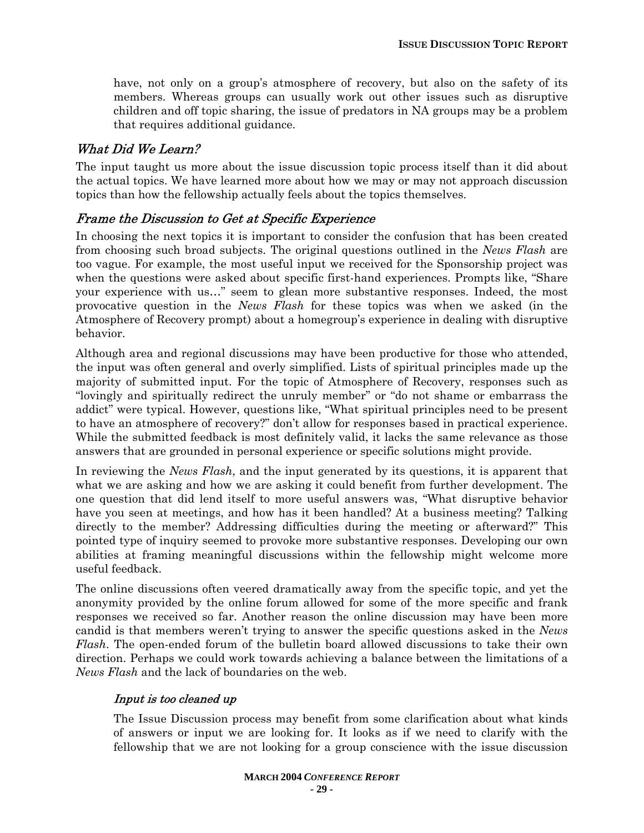have, not only on a group's atmosphere of recovery, but also on the safety of its members. Whereas groups can usually work out other issues such as disruptive children and off topic sharing, the issue of predators in NA groups may be a problem that requires additional guidance.

#### What Did We Learn?

The input taught us more about the issue discussion topic process itself than it did about the actual topics. We have learned more about how we may or may not approach discussion topics than how the fellowship actually feels about the topics themselves.

#### Frame the Discussion to Get at Specific Experience

In choosing the next topics it is important to consider the confusion that has been created from choosing such broad subjects. The original questions outlined in the *News Flash* are too vague. For example, the most useful input we received for the Sponsorship project was when the questions were asked about specific first-hand experiences. Prompts like, "Share" your experience with us…" seem to glean more substantive responses. Indeed, the most provocative question in the *News Flash* for these topics was when we asked (in the Atmosphere of Recovery prompt) about a homegroup's experience in dealing with disruptive behavior.

Although area and regional discussions may have been productive for those who attended, the input was often general and overly simplified. Lists of spiritual principles made up the majority of submitted input. For the topic of Atmosphere of Recovery, responses such as "lovingly and spiritually redirect the unruly member" or "do not shame or embarrass the addict" were typical. However, questions like, "What spiritual principles need to be present to have an atmosphere of recovery?" don't allow for responses based in practical experience. While the submitted feedback is most definitely valid, it lacks the same relevance as those answers that are grounded in personal experience or specific solutions might provide.

In reviewing the *News Flash*, and the input generated by its questions, it is apparent that what we are asking and how we are asking it could benefit from further development. The one question that did lend itself to more useful answers was, "What disruptive behavior have you seen at meetings, and how has it been handled? At a business meeting? Talking directly to the member? Addressing difficulties during the meeting or afterward?" This pointed type of inquiry seemed to provoke more substantive responses. Developing our own abilities at framing meaningful discussions within the fellowship might welcome more useful feedback.

The online discussions often veered dramatically away from the specific topic, and yet the anonymity provided by the online forum allowed for some of the more specific and frank responses we received so far. Another reason the online discussion may have been more candid is that members weren't trying to answer the specific questions asked in the *News Flash*. The open-ended forum of the bulletin board allowed discussions to take their own direction. Perhaps we could work towards achieving a balance between the limitations of a *News Flash* and the lack of boundaries on the web.

#### Input is too cleaned up

The Issue Discussion process may benefit from some clarification about what kinds of answers or input we are looking for. It looks as if we need to clarify with the fellowship that we are not looking for a group conscience with the issue discussion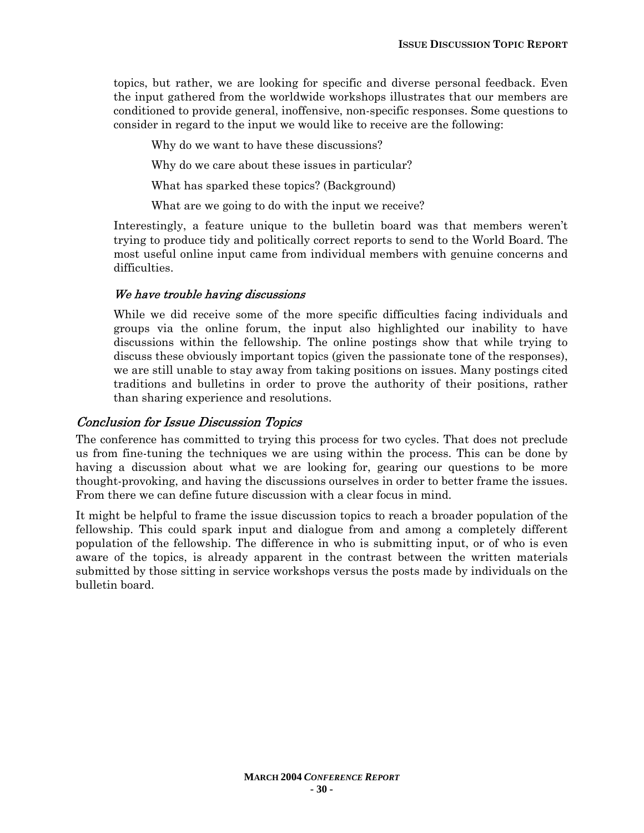topics, but rather, we are looking for specific and diverse personal feedback. Even the input gathered from the worldwide workshops illustrates that our members are conditioned to provide general, inoffensive, non-specific responses. Some questions to consider in regard to the input we would like to receive are the following:

Why do we want to have these discussions?

Why do we care about these issues in particular?

What has sparked these topics? (Background)

What are we going to do with the input we receive?

Interestingly, a feature unique to the bulletin board was that members weren't trying to produce tidy and politically correct reports to send to the World Board. The most useful online input came from individual members with genuine concerns and difficulties.

#### We have trouble having discussions

While we did receive some of the more specific difficulties facing individuals and groups via the online forum, the input also highlighted our inability to have discussions within the fellowship. The online postings show that while trying to discuss these obviously important topics (given the passionate tone of the responses), we are still unable to stay away from taking positions on issues. Many postings cited traditions and bulletins in order to prove the authority of their positions, rather than sharing experience and resolutions.

#### Conclusion for Issue Discussion Topics

The conference has committed to trying this process for two cycles. That does not preclude us from fine-tuning the techniques we are using within the process. This can be done by having a discussion about what we are looking for, gearing our questions to be more thought-provoking, and having the discussions ourselves in order to better frame the issues. From there we can define future discussion with a clear focus in mind.

It might be helpful to frame the issue discussion topics to reach a broader population of the fellowship. This could spark input and dialogue from and among a completely different population of the fellowship. The difference in who is submitting input, or of who is even aware of the topics, is already apparent in the contrast between the written materials submitted by those sitting in service workshops versus the posts made by individuals on the bulletin board.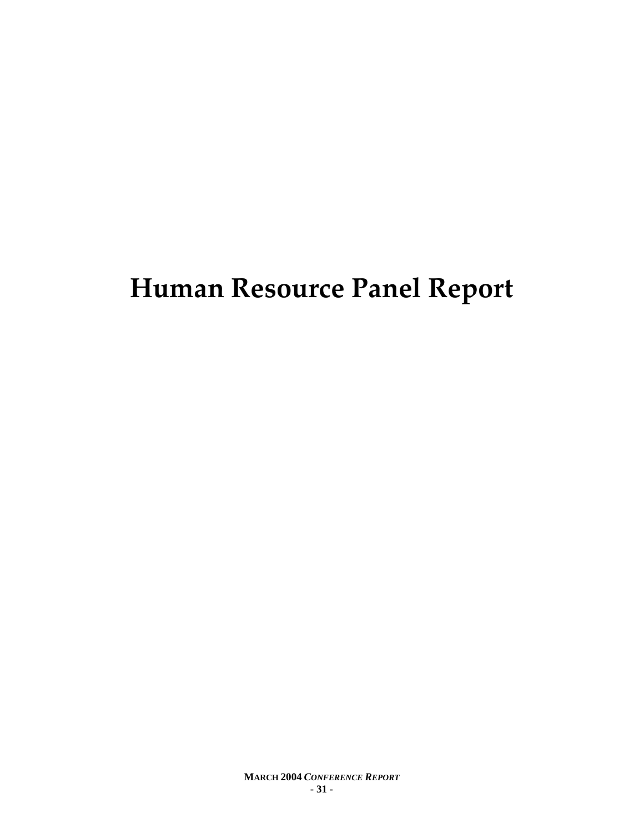### **Human Resource Panel Report**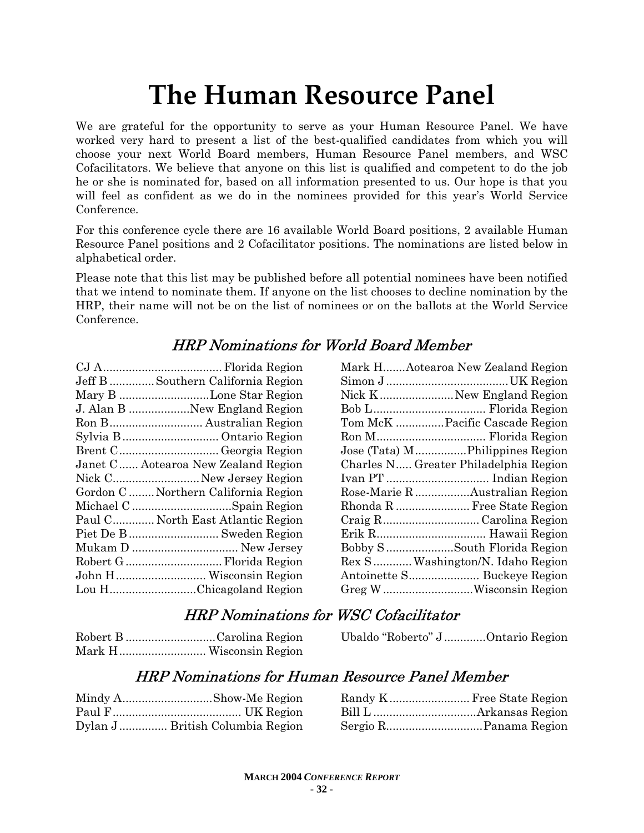### **The Human Resource Panel**

We are grateful for the opportunity to serve as your Human Resource Panel. We have worked very hard to present a list of the best-qualified candidates from which you will choose your next World Board members, Human Resource Panel members, and WSC Cofacilitators. We believe that anyone on this list is qualified and competent to do the job he or she is nominated for, based on all information presented to us. Our hope is that you will feel as confident as we do in the nominees provided for this year's World Service Conference.

For this conference cycle there are 16 available World Board positions, 2 available Human Resource Panel positions and 2 Cofacilitator positions. The nominations are listed below in alphabetical order.

Please note that this list may be published before all potential nominees have been notified that we intend to nominate them. If anyone on the list chooses to decline nomination by the HRP, their name will not be on the list of nominees or on the ballots at the World Service Conference.

#### HRP Nominations for World Board Member

| Jeff B  Southern California Region  |
|-------------------------------------|
| Mary B Lone Star Region             |
| J. Alan B New England Region        |
| Ron B Australian Region             |
|                                     |
|                                     |
| Janet C Aotearoa New Zealand Region |
| Nick CNew Jersey Region             |
| Gordon C Northern California Region |
| Michael CSpain Region               |
| Paul C North East Atlantic Region   |
|                                     |
|                                     |
| Robert G  Florida Region            |
|                                     |
| Lou HChicagoland Region             |
|                                     |

| Mark HAotearoa New Zealand Region     |  |
|---------------------------------------|--|
|                                       |  |
| Nick KNew England Region              |  |
|                                       |  |
| Tom McK Pacific Cascade Region        |  |
|                                       |  |
| Jose (Tata) MPhilippines Region       |  |
| Charles N Greater Philadelphia Region |  |
|                                       |  |
| Rose-Marie RAustralian Region         |  |
| Rhonda R  Free State Region           |  |
| Craig R Carolina Region               |  |
|                                       |  |
| Bobby SSouth Florida Region           |  |
| Rex S Washington/N. Idaho Region      |  |
| Antoinette S Buckeye Region           |  |
| Greg WWisconsin Region                |  |
|                                       |  |

#### HRP Nominations for WSC Cofacilitator

| Robert BCarolina Region |  |
|-------------------------|--|
|                         |  |

Ubaldo "Roberto" J.............Ontario Region

#### HRP Nominations for Human Resource Panel Member

| Mindy AShow-Me Region           |
|---------------------------------|
|                                 |
| Dylan J British Columbia Region |

| Randy K Free State Region |
|---------------------------|
|                           |
| Sergio RPanama Region     |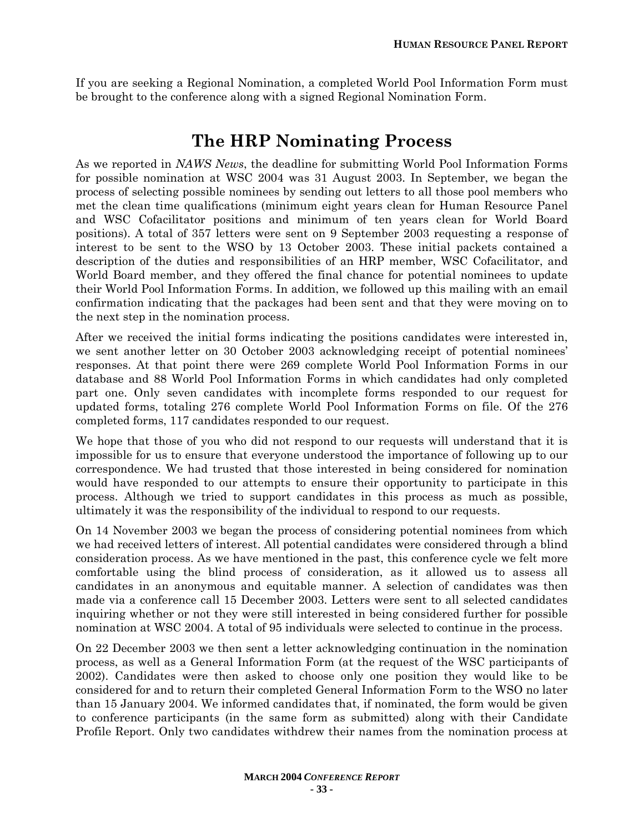If you are seeking a Regional Nomination, a completed World Pool Information Form must be brought to the conference along with a signed Regional Nomination Form.

#### **The HRP Nominating Process**

As we reported in *NAWS News*, the deadline for submitting World Pool Information Forms for possible nomination at WSC 2004 was 31 August 2003. In September, we began the process of selecting possible nominees by sending out letters to all those pool members who met the clean time qualifications (minimum eight years clean for Human Resource Panel and WSC Cofacilitator positions and minimum of ten years clean for World Board positions). A total of 357 letters were sent on 9 September 2003 requesting a response of interest to be sent to the WSO by 13 October 2003. These initial packets contained a description of the duties and responsibilities of an HRP member, WSC Cofacilitator, and World Board member, and they offered the final chance for potential nominees to update their World Pool Information Forms. In addition, we followed up this mailing with an email confirmation indicating that the packages had been sent and that they were moving on to the next step in the nomination process.

After we received the initial forms indicating the positions candidates were interested in, we sent another letter on 30 October 2003 acknowledging receipt of potential nominees' responses. At that point there were 269 complete World Pool Information Forms in our database and 88 World Pool Information Forms in which candidates had only completed part one. Only seven candidates with incomplete forms responded to our request for updated forms, totaling 276 complete World Pool Information Forms on file. Of the 276 completed forms, 117 candidates responded to our request.

We hope that those of you who did not respond to our requests will understand that it is impossible for us to ensure that everyone understood the importance of following up to our correspondence. We had trusted that those interested in being considered for nomination would have responded to our attempts to ensure their opportunity to participate in this process. Although we tried to support candidates in this process as much as possible, ultimately it was the responsibility of the individual to respond to our requests.

On 14 November 2003 we began the process of considering potential nominees from which we had received letters of interest. All potential candidates were considered through a blind consideration process. As we have mentioned in the past, this conference cycle we felt more comfortable using the blind process of consideration, as it allowed us to assess all candidates in an anonymous and equitable manner. A selection of candidates was then made via a conference call 15 December 2003. Letters were sent to all selected candidates inquiring whether or not they were still interested in being considered further for possible nomination at WSC 2004. A total of 95 individuals were selected to continue in the process.

On 22 December 2003 we then sent a letter acknowledging continuation in the nomination process, as well as a General Information Form (at the request of the WSC participants of 2002). Candidates were then asked to choose only one position they would like to be considered for and to return their completed General Information Form to the WSO no later than 15 January 2004. We informed candidates that, if nominated, the form would be given to conference participants (in the same form as submitted) along with their Candidate Profile Report. Only two candidates withdrew their names from the nomination process at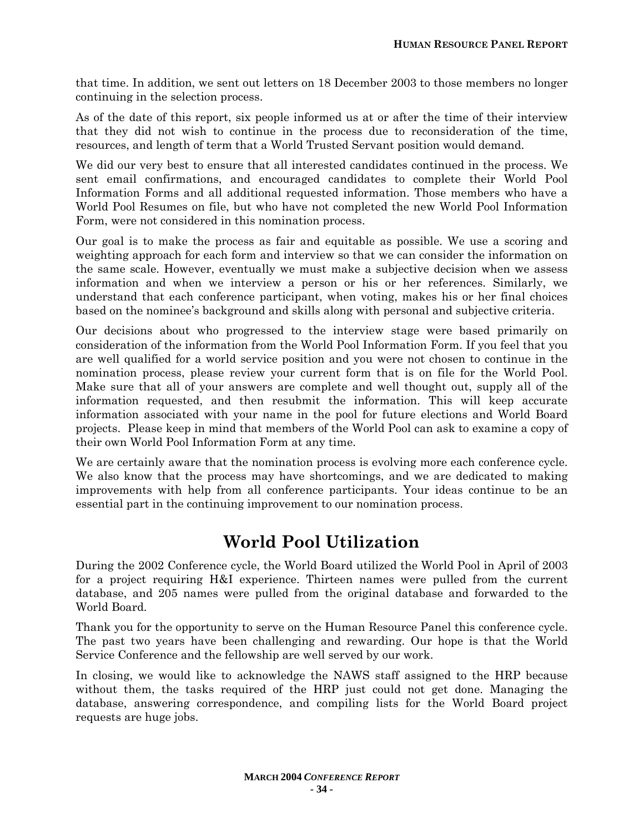that time. In addition, we sent out letters on 18 December 2003 to those members no longer continuing in the selection process.

As of the date of this report, six people informed us at or after the time of their interview that they did not wish to continue in the process due to reconsideration of the time, resources, and length of term that a World Trusted Servant position would demand.

We did our very best to ensure that all interested candidates continued in the process. We sent email confirmations, and encouraged candidates to complete their World Pool Information Forms and all additional requested information. Those members who have a World Pool Resumes on file, but who have not completed the new World Pool Information Form, were not considered in this nomination process.

Our goal is to make the process as fair and equitable as possible. We use a scoring and weighting approach for each form and interview so that we can consider the information on the same scale. However, eventually we must make a subjective decision when we assess information and when we interview a person or his or her references. Similarly, we understand that each conference participant, when voting, makes his or her final choices based on the nominee's background and skills along with personal and subjective criteria.

Our decisions about who progressed to the interview stage were based primarily on consideration of the information from the World Pool Information Form. If you feel that you are well qualified for a world service position and you were not chosen to continue in the nomination process, please review your current form that is on file for the World Pool. Make sure that all of your answers are complete and well thought out, supply all of the information requested, and then resubmit the information. This will keep accurate information associated with your name in the pool for future elections and World Board projects. Please keep in mind that members of the World Pool can ask to examine a copy of their own World Pool Information Form at any time.

We are certainly aware that the nomination process is evolving more each conference cycle. We also know that the process may have shortcomings, and we are dedicated to making improvements with help from all conference participants. Your ideas continue to be an essential part in the continuing improvement to our nomination process.

#### **World Pool Utilization**

During the 2002 Conference cycle, the World Board utilized the World Pool in April of 2003 for a project requiring H&I experience. Thirteen names were pulled from the current database, and 205 names were pulled from the original database and forwarded to the World Board.

Thank you for the opportunity to serve on the Human Resource Panel this conference cycle. The past two years have been challenging and rewarding. Our hope is that the World Service Conference and the fellowship are well served by our work.

In closing, we would like to acknowledge the NAWS staff assigned to the HRP because without them, the tasks required of the HRP just could not get done. Managing the database, answering correspondence, and compiling lists for the World Board project requests are huge jobs.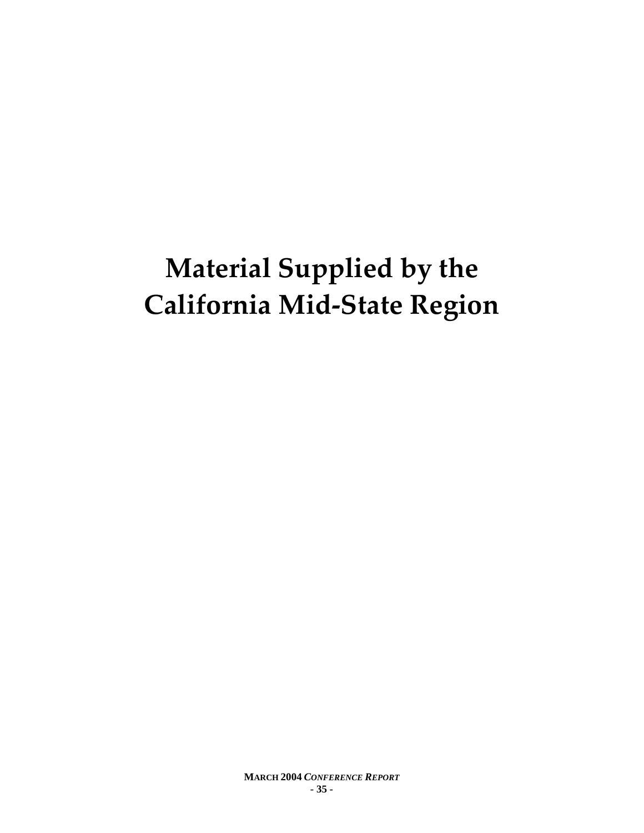## **Material Supplied by the California Mid‐State Region**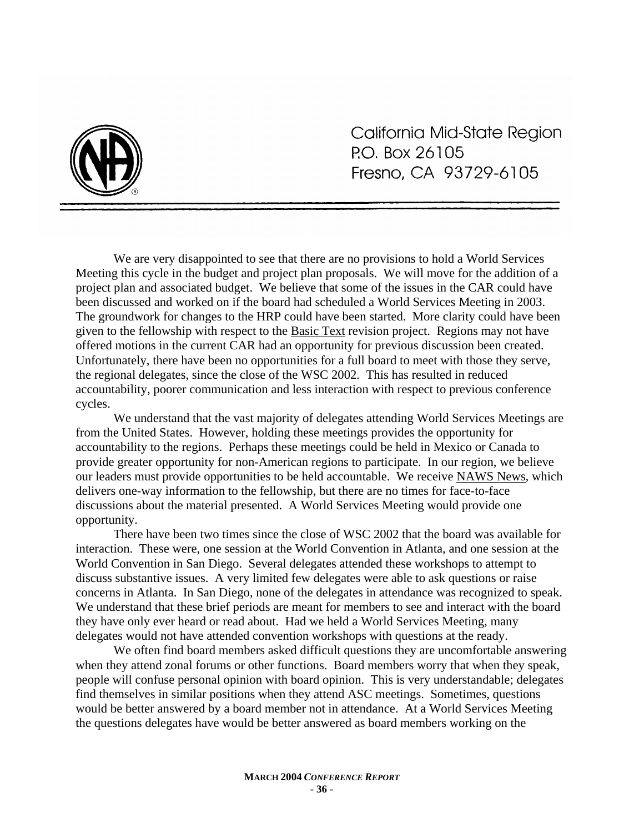

California Mid-State Region P.O. Box 26105 Fresno, CA 93729-6105

 We are very disappointed to see that there are no provisions to hold a World Services Meeting this cycle in the budget and project plan proposals. We will move for the addition of a project plan and associated budget. We believe that some of the issues in the CAR could have been discussed and worked on if the board had scheduled a World Services Meeting in 2003. The groundwork for changes to the HRP could have been started. More clarity could have been given to the fellowship with respect to the Basic Text revision project. Regions may not have offered motions in the current CAR had an opportunity for previous discussion been created. Unfortunately, there have been no opportunities for a full board to meet with those they serve, the regional delegates, since the close of the WSC 2002. This has resulted in reduced accountability, poorer communication and less interaction with respect to previous conference cycles.

 We understand that the vast majority of delegates attending World Services Meetings are from the United States. However, holding these meetings provides the opportunity for accountability to the regions. Perhaps these meetings could be held in Mexico or Canada to provide greater opportunity for non-American regions to participate. In our region, we believe our leaders must provide opportunities to be held accountable. We receive NAWS News, which delivers one-way information to the fellowship, but there are no times for face-to-face discussions about the material presented. A World Services Meeting would provide one opportunity.

 There have been two times since the close of WSC 2002 that the board was available for interaction. These were, one session at the World Convention in Atlanta, and one session at the World Convention in San Diego. Several delegates attended these workshops to attempt to discuss substantive issues. A very limited few delegates were able to ask questions or raise concerns in Atlanta. In San Diego, none of the delegates in attendance was recognized to speak. We understand that these brief periods are meant for members to see and interact with the board they have only ever heard or read about. Had we held a World Services Meeting, many delegates would not have attended convention workshops with questions at the ready.

 We often find board members asked difficult questions they are uncomfortable answering when they attend zonal forums or other functions. Board members worry that when they speak, people will confuse personal opinion with board opinion. This is very understandable; delegates find themselves in similar positions when they attend ASC meetings. Sometimes, questions would be better answered by a board member not in attendance. At a World Services Meeting the questions delegates have would be better answered as board members working on the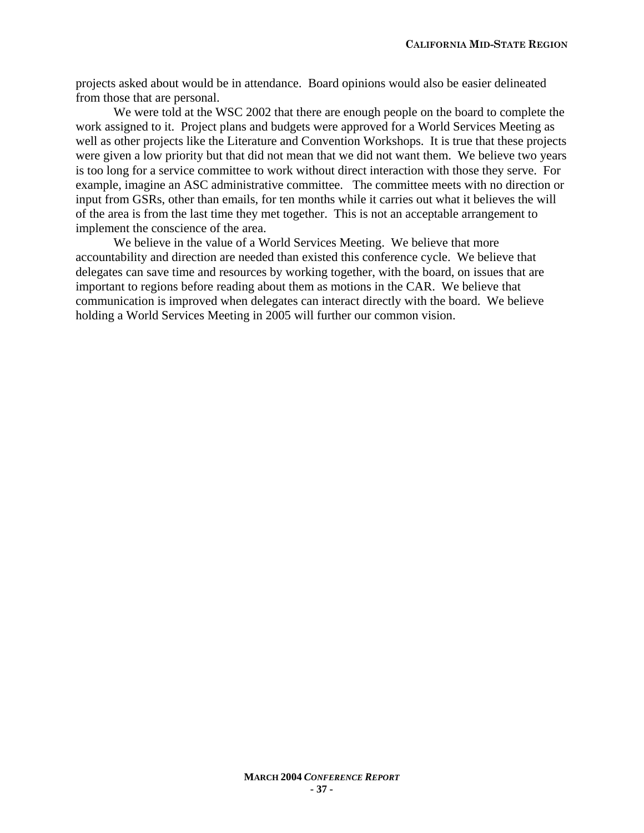projects asked about would be in attendance. Board opinions would also be easier delineated from those that are personal.

 We were told at the WSC 2002 that there are enough people on the board to complete the work assigned to it. Project plans and budgets were approved for a World Services Meeting as well as other projects like the Literature and Convention Workshops. It is true that these projects were given a low priority but that did not mean that we did not want them. We believe two years is too long for a service committee to work without direct interaction with those they serve. For example, imagine an ASC administrative committee. The committee meets with no direction or input from GSRs, other than emails, for ten months while it carries out what it believes the will of the area is from the last time they met together. This is not an acceptable arrangement to implement the conscience of the area.

 We believe in the value of a World Services Meeting. We believe that more accountability and direction are needed than existed this conference cycle. We believe that delegates can save time and resources by working together, with the board, on issues that are important to regions before reading about them as motions in the CAR. We believe that communication is improved when delegates can interact directly with the board. We believe holding a World Services Meeting in 2005 will further our common vision.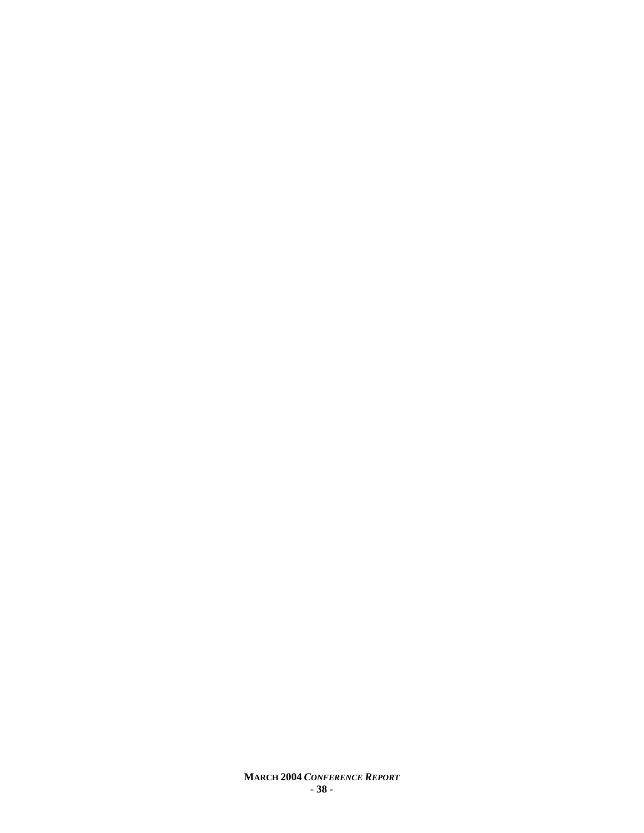#### **MARCH 2004** *CONFERENCE REPORT* **- 38 -**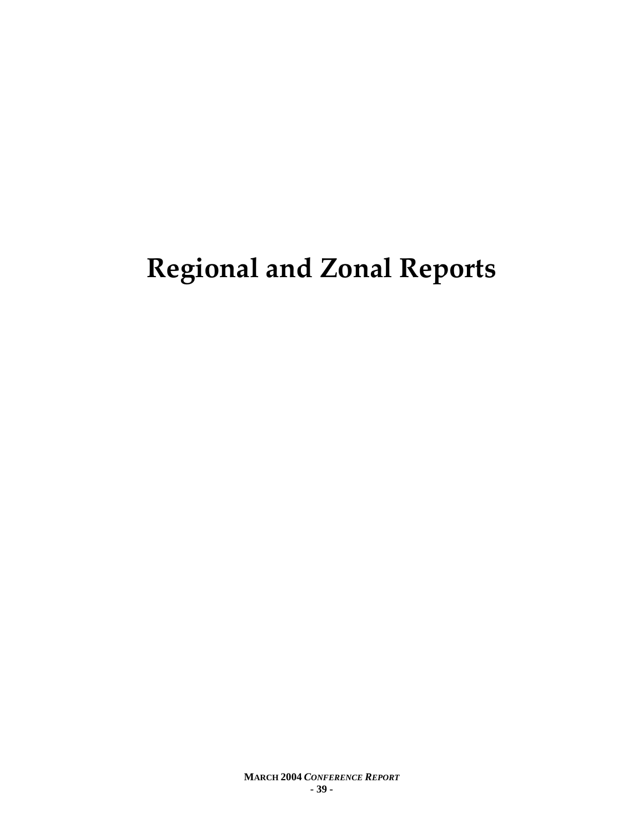### **Regional and Zonal Reports**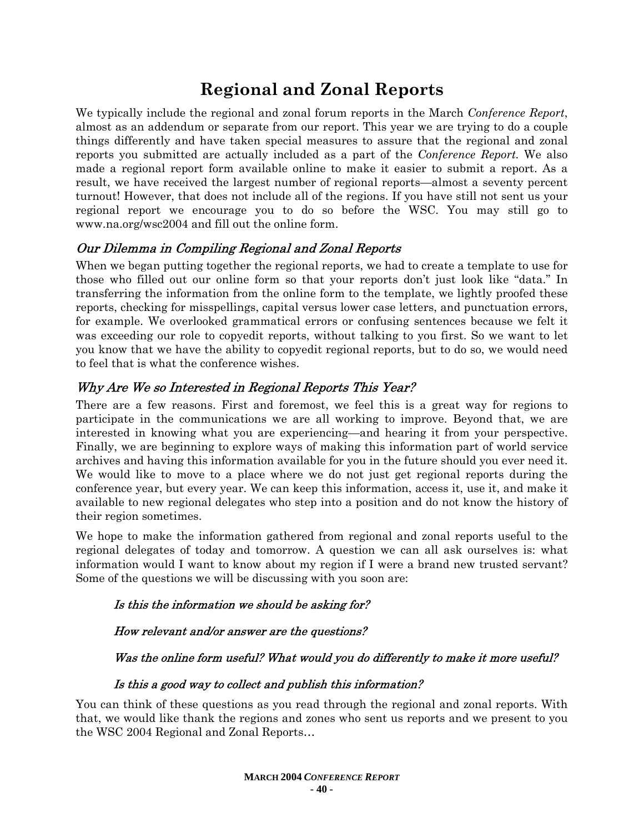### **Regional and Zonal Reports**

We typically include the regional and zonal forum reports in the March *Conference Report*, almost as an addendum or separate from our report. This year we are trying to do a couple things differently and have taken special measures to assure that the regional and zonal reports you submitted are actually included as a part of the *Conference Report.* We also made a regional report form available online to make it easier to submit a report. As a result, we have received the largest number of regional reports—almost a seventy percent turnout! However, that does not include all of the regions. If you have still not sent us your regional report we encourage you to do so before the WSC. You may still go to www.na.org/wsc2004 and fill out the online form.

#### Our Dilemma in Compiling Regional and Zonal Reports

When we began putting together the regional reports, we had to create a template to use for those who filled out our online form so that your reports don't just look like "data." In transferring the information from the online form to the template, we lightly proofed these reports, checking for misspellings, capital versus lower case letters, and punctuation errors, for example. We overlooked grammatical errors or confusing sentences because we felt it was exceeding our role to copyedit reports, without talking to you first. So we want to let you know that we have the ability to copyedit regional reports, but to do so, we would need to feel that is what the conference wishes.

#### Why Are We so Interested in Regional Reports This Year?

There are a few reasons. First and foremost, we feel this is a great way for regions to participate in the communications we are all working to improve. Beyond that, we are interested in knowing what you are experiencing—and hearing it from your perspective. Finally, we are beginning to explore ways of making this information part of world service archives and having this information available for you in the future should you ever need it. We would like to move to a place where we do not just get regional reports during the conference year, but every year. We can keep this information, access it, use it, and make it available to new regional delegates who step into a position and do not know the history of their region sometimes.

We hope to make the information gathered from regional and zonal reports useful to the regional delegates of today and tomorrow. A question we can all ask ourselves is: what information would I want to know about my region if I were a brand new trusted servant? Some of the questions we will be discussing with you soon are:

#### Is this the information we should be asking for?

#### How relevant and/or answer are the questions?

#### Was the online form useful? What would you do differently to make it more useful?

#### Is this a good way to collect and publish this information?

You can think of these questions as you read through the regional and zonal reports. With that, we would like thank the regions and zones who sent us reports and we present to you the WSC 2004 Regional and Zonal Reports…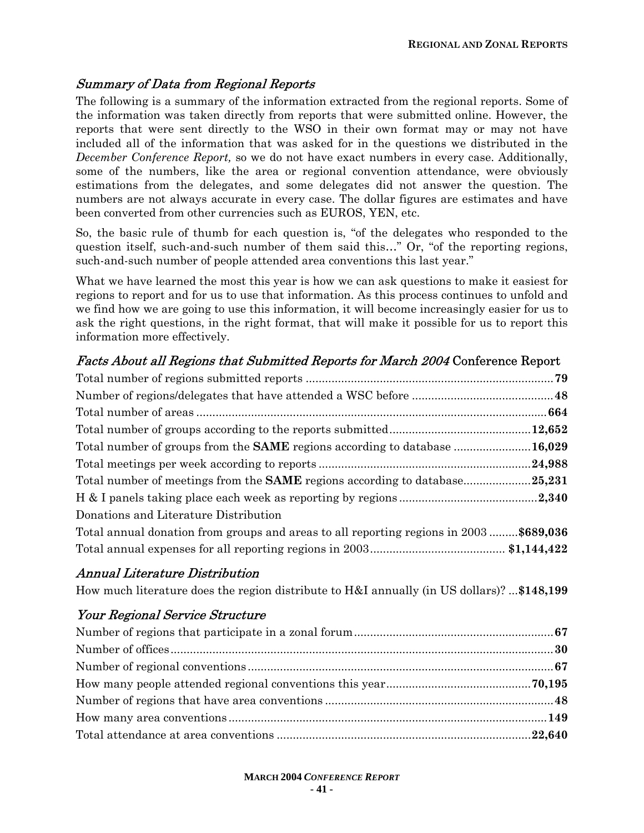#### Summary of Data from Regional Reports

The following is a summary of the information extracted from the regional reports. Some of the information was taken directly from reports that were submitted online. However, the reports that were sent directly to the WSO in their own format may or may not have included all of the information that was asked for in the questions we distributed in the *December Conference Report,* so we do not have exact numbers in every case. Additionally, some of the numbers, like the area or regional convention attendance, were obviously estimations from the delegates, and some delegates did not answer the question. The numbers are not always accurate in every case. The dollar figures are estimates and have been converted from other currencies such as EUROS, YEN, etc.

So, the basic rule of thumb for each question is, "of the delegates who responded to the question itself, such-and-such number of them said this…" Or, "of the reporting regions, such-and-such number of people attended area conventions this last year."

What we have learned the most this year is how we can ask questions to make it easiest for regions to report and for us to use that information. As this process continues to unfold and we find how we are going to use this information, it will become increasingly easier for us to ask the right questions, in the right format, that will make it possible for us to report this information more effectively.

#### Facts About all Regions that Submitted Reports for March 2004 Conference Report

| Total number of groups from the <b>SAME</b> regions according to database 16,029      |  |
|---------------------------------------------------------------------------------------|--|
|                                                                                       |  |
| Total number of meetings from the <b>SAME</b> regions according to database25,231     |  |
|                                                                                       |  |
| Donations and Literature Distribution                                                 |  |
| Total annual donation from groups and areas to all reporting regions in 2003\$689,036 |  |
|                                                                                       |  |

#### Annual Literature Distribution

How much literature does the region distribute to H&I annually (in US dollars)? ...**\$148,199**

#### Your Regional Service Structure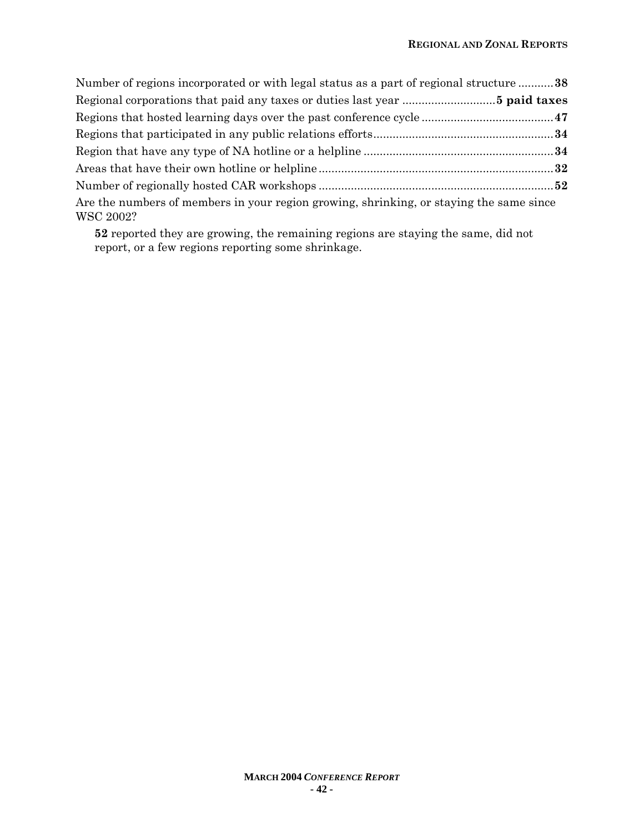| Number of regions incorporated or with legal status as a part of regional structure  38              |  |
|------------------------------------------------------------------------------------------------------|--|
|                                                                                                      |  |
|                                                                                                      |  |
|                                                                                                      |  |
|                                                                                                      |  |
|                                                                                                      |  |
|                                                                                                      |  |
| Are the numbers of members in your region growing, shrinking, or staying the same since<br>WSC 2002? |  |
|                                                                                                      |  |

**52** reported they are growing, the remaining regions are staying the same, did not report, or a few regions reporting some shrinkage.